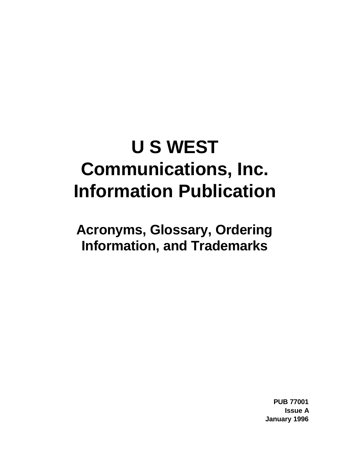## **U S WEST Communications, Inc. Information Publication**

**Acronyms, Glossary, Ordering Information, and Trademarks**

> **PUB 77001 Issue A January 1996**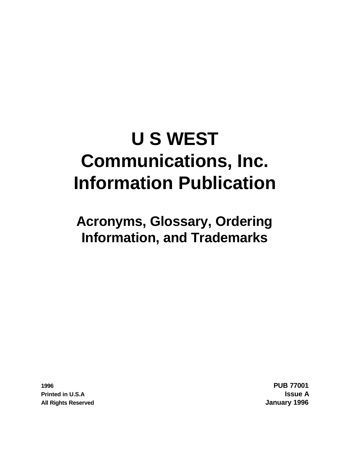# **U S WEST Communications, Inc. Information Publication**

## **Acronyms, Glossary, Ordering Information, and Trademarks**

**1996 PUB 77001 Printed in U.S.A Issue A All Rights Reserved January 1996**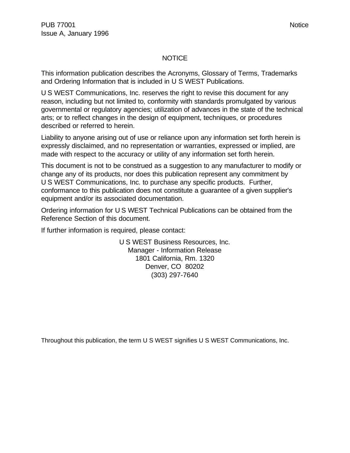### NOTICE

This information publication describes the Acronyms, Glossary of Terms, Trademarks and Ordering Information that is included in U S WEST Publications.

U S WEST Communications, Inc. reserves the right to revise this document for any reason, including but not limited to, conformity with standards promulgated by various governmental or regulatory agencies; utilization of advances in the state of the technical arts; or to reflect changes in the design of equipment, techniques, or procedures described or referred to herein.

Liability to anyone arising out of use or reliance upon any information set forth herein is expressly disclaimed, and no representation or warranties, expressed or implied, are made with respect to the accuracy or utility of any information set forth herein.

This document is not to be construed as a suggestion to any manufacturer to modify or change any of its products, nor does this publication represent any commitment by U S WEST Communications, Inc. to purchase any specific products. Further, conformance to this publication does not constitute a guarantee of a given supplier's equipment and/or its associated documentation.

Ordering information for U S WEST Technical Publications can be obtained from the Reference Section of this document.

If further information is required, please contact:

U S WEST Business Resources, Inc. Manager - Information Release 1801 California, Rm. 1320 Denver, CO 80202 (303) 297-7640

Throughout this publication, the term U S WEST signifies U S WEST Communications, Inc.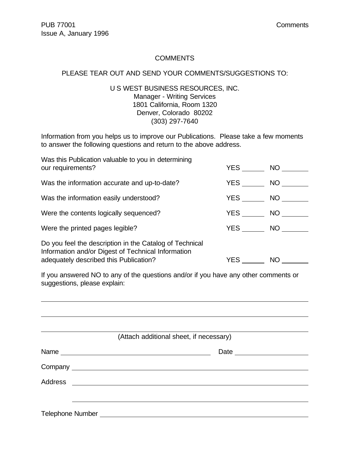#### **COMMENTS**

#### PLEASE TEAR OUT AND SEND YOUR COMMENTS/SUGGESTIONS TO:

### U S WEST BUSINESS RESOURCES, INC. Manager - Writing Services 1801 California, Room 1320 Denver, Colorado 80202 (303) 297-7640

Information from you helps us to improve our Publications. Please take a few moments to answer the following questions and return to the above address.

| Was this Publication valuable to you in determining<br>our requirements?                                                                                | YES        | NO <sub>1</sub> |
|---------------------------------------------------------------------------------------------------------------------------------------------------------|------------|-----------------|
| Was the information accurate and up-to-date?                                                                                                            | YES        | NO              |
| Was the information easily understood?                                                                                                                  | <b>YES</b> | NO              |
| Were the contents logically sequenced?                                                                                                                  | <b>YES</b> | NO              |
| Were the printed pages legible?                                                                                                                         | <b>YES</b> | <b>NO</b>       |
| Do you feel the description in the Catalog of Technical<br>Information and/or Digest of Technical Information<br>adequately described this Publication? | <b>YES</b> | <b>NO</b>       |

If you answered NO to any of the questions and/or if you have any other comments or suggestions, please explain:

| (Attach additional sheet, if necessary)                                     |
|-----------------------------------------------------------------------------|
| Date                                                                        |
|                                                                             |
|                                                                             |
|                                                                             |
|                                                                             |
| Telephone Number National Contract of the Contract of Telephone Number 2014 |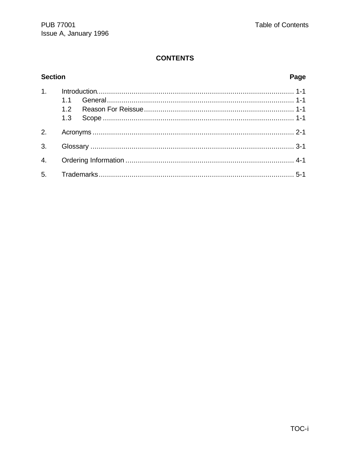### **CONTENTS**

### **Section**

### Page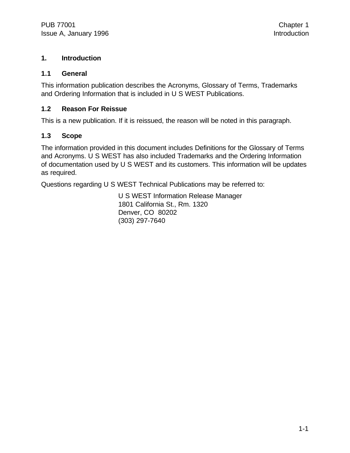### **1. Introduction**

#### **1.1 General**

This information publication describes the Acronyms, Glossary of Terms, Trademarks and Ordering Information that is included in U S WEST Publications.

### **1.2 Reason For Reissue**

This is a new publication. If it is reissued, the reason will be noted in this paragraph.

### **1.3 Scope**

The information provided in this document includes Definitions for the Glossary of Terms and Acronyms. U S WEST has also included Trademarks and the Ordering Information of documentation used by U S WEST and its customers. This information will be updates as required.

Questions regarding U S WEST Technical Publications may be referred to:

U S WEST Information Release Manager 1801 California St., Rm. 1320 Denver, CO 80202 (303) 297-7640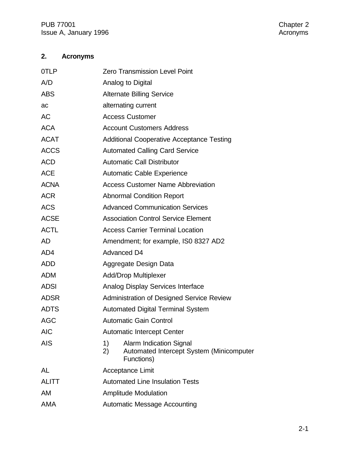### **2. Acronyms**

| 0TLP         | <b>Zero Transmission Level Point</b>                                                                 |  |  |
|--------------|------------------------------------------------------------------------------------------------------|--|--|
| A/D          | Analog to Digital                                                                                    |  |  |
| <b>ABS</b>   | <b>Alternate Billing Service</b>                                                                     |  |  |
| ac           | alternating current                                                                                  |  |  |
| <b>AC</b>    | <b>Access Customer</b>                                                                               |  |  |
| <b>ACA</b>   | <b>Account Customers Address</b>                                                                     |  |  |
| <b>ACAT</b>  | <b>Additional Cooperative Acceptance Testing</b>                                                     |  |  |
| <b>ACCS</b>  | <b>Automated Calling Card Service</b>                                                                |  |  |
| <b>ACD</b>   | <b>Automatic Call Distributor</b>                                                                    |  |  |
| <b>ACE</b>   | <b>Automatic Cable Experience</b>                                                                    |  |  |
| <b>ACNA</b>  | <b>Access Customer Name Abbreviation</b>                                                             |  |  |
| <b>ACR</b>   | <b>Abnormal Condition Report</b>                                                                     |  |  |
| <b>ACS</b>   | <b>Advanced Communication Services</b>                                                               |  |  |
| <b>ACSE</b>  | <b>Association Control Service Element</b>                                                           |  |  |
| <b>ACTL</b>  | <b>Access Carrier Terminal Location</b>                                                              |  |  |
| AD           | Amendment; for example, ISO 8327 AD2                                                                 |  |  |
| AD4          | <b>Advanced D4</b>                                                                                   |  |  |
| <b>ADD</b>   | Aggregate Design Data                                                                                |  |  |
| <b>ADM</b>   | <b>Add/Drop Multiplexer</b>                                                                          |  |  |
| <b>ADSI</b>  | <b>Analog Display Services Interface</b>                                                             |  |  |
| <b>ADSR</b>  | <b>Administration of Designed Service Review</b>                                                     |  |  |
| <b>ADTS</b>  | <b>Automated Digital Terminal System</b>                                                             |  |  |
| AGC          | <b>Automatic Gain Control</b>                                                                        |  |  |
| <b>AIC</b>   | <b>Automatic Intercept Center</b>                                                                    |  |  |
| <b>AIS</b>   | 1)<br><b>Alarm Indication Signal</b><br>2)<br>Automated Intercept System (Minicomputer<br>Functions) |  |  |
| AL           | <b>Acceptance Limit</b>                                                                              |  |  |
| <b>ALITT</b> | <b>Automated Line Insulation Tests</b>                                                               |  |  |
| <b>AM</b>    | <b>Amplitude Modulation</b>                                                                          |  |  |
| AMA          | <b>Automatic Message Accounting</b>                                                                  |  |  |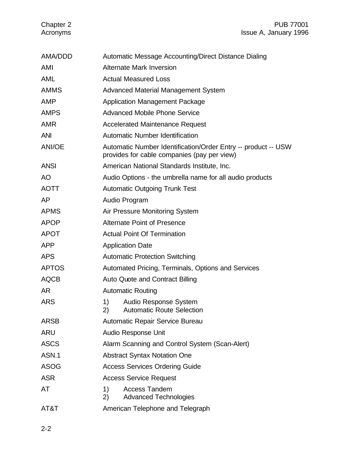### Chapter 2 PUB 77001<br>Acronyms Issue A, January 1996 Issue A, January 1996

| AMA/DDD       | Automatic Message Accounting/Direct Distance Dialing                                                         |  |  |  |
|---------------|--------------------------------------------------------------------------------------------------------------|--|--|--|
| AMI           | <b>Alternate Mark Inversion</b>                                                                              |  |  |  |
| <b>AML</b>    | <b>Actual Measured Loss</b>                                                                                  |  |  |  |
| <b>AMMS</b>   | <b>Advanced Material Management System</b>                                                                   |  |  |  |
| AMP           | <b>Application Management Package</b>                                                                        |  |  |  |
| <b>AMPS</b>   | <b>Advanced Mobile Phone Service</b>                                                                         |  |  |  |
| <b>AMR</b>    | <b>Accelerated Maintenance Request</b>                                                                       |  |  |  |
| <b>ANI</b>    | <b>Automatic Number Identification</b>                                                                       |  |  |  |
| <b>ANI/OE</b> | Automatic Number Identification/Order Entry -- product -- USW<br>provides for cable companies (pay per view) |  |  |  |
| <b>ANSI</b>   | American National Standards Institute, Inc.                                                                  |  |  |  |
| AO            | Audio Options - the umbrella name for all audio products                                                     |  |  |  |
| <b>AOTT</b>   | <b>Automatic Outgoing Trunk Test</b>                                                                         |  |  |  |
| AP            | Audio Program                                                                                                |  |  |  |
| <b>APMS</b>   | Air Pressure Monitoring System                                                                               |  |  |  |
| <b>APOP</b>   | <b>Alternate Point of Presence</b>                                                                           |  |  |  |
| <b>APOT</b>   | <b>Actual Point Of Termination</b>                                                                           |  |  |  |
| <b>APP</b>    | <b>Application Date</b>                                                                                      |  |  |  |
| <b>APS</b>    | <b>Automatic Protection Switching</b>                                                                        |  |  |  |
| <b>APTOS</b>  | Automated Pricing, Terminals, Options and Services                                                           |  |  |  |
| <b>AQCB</b>   | <b>Auto Quote and Contract Billing</b>                                                                       |  |  |  |
| <b>AR</b>     | <b>Automatic Routing</b>                                                                                     |  |  |  |
| <b>ARS</b>    | 1)<br>Audio Response System<br>2)<br><b>Automatic Route Selection</b>                                        |  |  |  |
| <b>ARSB</b>   | Automatic Repair Service Bureau                                                                              |  |  |  |
| <b>ARU</b>    | Audio Response Unit                                                                                          |  |  |  |
| <b>ASCS</b>   | Alarm Scanning and Control System (Scan-Alert)                                                               |  |  |  |
| ASN.1         | <b>Abstract Syntax Notation One</b>                                                                          |  |  |  |
| <b>ASOG</b>   | <b>Access Services Ordering Guide</b>                                                                        |  |  |  |
| <b>ASR</b>    | <b>Access Service Request</b>                                                                                |  |  |  |
| AT            | <b>Access Tandem</b><br>1)<br><b>Advanced Technologies</b><br>2)                                             |  |  |  |
| AT&T          | American Telephone and Telegraph                                                                             |  |  |  |
|               |                                                                                                              |  |  |  |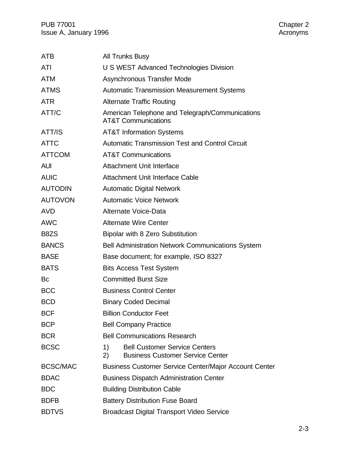| <b>ATB</b>      | All Trunks Busy                                                                             |  |  |
|-----------------|---------------------------------------------------------------------------------------------|--|--|
| ATI             | U S WEST Advanced Technologies Division                                                     |  |  |
| <b>ATM</b>      | Asynchronous Transfer Mode                                                                  |  |  |
| <b>ATMS</b>     | <b>Automatic Transmission Measurement Systems</b>                                           |  |  |
| <b>ATR</b>      | <b>Alternate Traffic Routing</b>                                                            |  |  |
| ATT/C           | American Telephone and Telegraph/Communications<br><b>AT&amp;T Communications</b>           |  |  |
| ATT/IS          | <b>AT&amp;T Information Systems</b>                                                         |  |  |
| <b>ATTC</b>     | <b>Automatic Transmission Test and Control Circuit</b>                                      |  |  |
| <b>ATTCOM</b>   | <b>AT&amp;T Communications</b>                                                              |  |  |
| <b>AUI</b>      | <b>Attachment Unit Interface</b>                                                            |  |  |
| <b>AUIC</b>     | <b>Attachment Unit Interface Cable</b>                                                      |  |  |
| <b>AUTODIN</b>  | <b>Automatic Digital Network</b>                                                            |  |  |
| <b>AUTOVON</b>  | <b>Automatic Voice Network</b>                                                              |  |  |
| <b>AVD</b>      | Alternate Voice-Data                                                                        |  |  |
| <b>AWC</b>      | <b>Alternate Wire Center</b>                                                                |  |  |
| B8ZS            | <b>Bipolar with 8 Zero Substitution</b>                                                     |  |  |
| <b>BANCS</b>    | <b>Bell Administration Network Communications System</b>                                    |  |  |
| <b>BASE</b>     | Base document; for example, ISO 8327                                                        |  |  |
| <b>BATS</b>     | <b>Bits Access Test System</b>                                                              |  |  |
| Bc              | <b>Committed Burst Size</b>                                                                 |  |  |
| <b>BCC</b>      | <b>Business Control Center</b>                                                              |  |  |
| <b>BCD</b>      | <b>Binary Coded Decimal</b>                                                                 |  |  |
| <b>BCF</b>      | <b>Billion Conductor Feet</b>                                                               |  |  |
| <b>BCP</b>      | <b>Bell Company Practice</b>                                                                |  |  |
| <b>BCR</b>      | <b>Bell Communications Research</b>                                                         |  |  |
| <b>BCSC</b>     | <b>Bell Customer Service Centers</b><br>1)<br><b>Business Customer Service Center</b><br>2) |  |  |
| <b>BCSC/MAC</b> | <b>Business Customer Service Center/Major Account Center</b>                                |  |  |
| <b>BDAC</b>     | <b>Business Dispatch Administration Center</b>                                              |  |  |
| <b>BDC</b>      | <b>Building Distribution Cable</b>                                                          |  |  |
| <b>BDFB</b>     | <b>Battery Distribution Fuse Board</b>                                                      |  |  |
| <b>BDTVS</b>    | <b>Broadcast Digital Transport Video Service</b>                                            |  |  |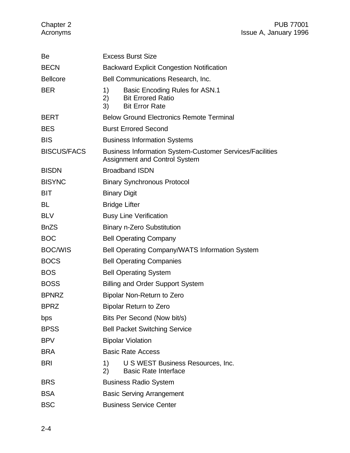| Be                 | <b>Excess Burst Size</b>                                                                                |  |  |
|--------------------|---------------------------------------------------------------------------------------------------------|--|--|
| <b>BECN</b>        | <b>Backward Explicit Congestion Notification</b>                                                        |  |  |
| <b>Bellcore</b>    | Bell Communications Research, Inc.                                                                      |  |  |
| <b>BER</b>         | 1)<br>Basic Encoding Rules for ASN.1<br><b>Bit Errored Ratio</b><br>2)<br>3)<br><b>Bit Error Rate</b>   |  |  |
| <b>BERT</b>        | <b>Below Ground Electronics Remote Terminal</b>                                                         |  |  |
| <b>BES</b>         | <b>Burst Errored Second</b>                                                                             |  |  |
| <b>BIS</b>         | <b>Business Information Systems</b>                                                                     |  |  |
| <b>BISCUS/FACS</b> | <b>Business Information System-Customer Services/Facilities</b><br><b>Assignment and Control System</b> |  |  |
| <b>BISDN</b>       | <b>Broadband ISDN</b>                                                                                   |  |  |
| <b>BISYNC</b>      | <b>Binary Synchronous Protocol</b>                                                                      |  |  |
| <b>BIT</b>         | <b>Binary Digit</b>                                                                                     |  |  |
| <b>BL</b>          | <b>Bridge Lifter</b>                                                                                    |  |  |
| <b>BLV</b>         | <b>Busy Line Verification</b>                                                                           |  |  |
| <b>BnZS</b>        | <b>Binary n-Zero Substitution</b>                                                                       |  |  |
| <b>BOC</b>         | <b>Bell Operating Company</b>                                                                           |  |  |
| <b>BOC/WIS</b>     | Bell Operating Company/WATS Information System                                                          |  |  |
| <b>BOCS</b>        | <b>Bell Operating Companies</b>                                                                         |  |  |
| <b>BOS</b>         | <b>Bell Operating System</b>                                                                            |  |  |
| <b>BOSS</b>        | <b>Billing and Order Support System</b>                                                                 |  |  |
| <b>BPNRZ</b>       | Bipolar Non-Return to Zero                                                                              |  |  |
| <b>BPRZ</b>        | <b>Bipolar Return to Zero</b>                                                                           |  |  |
| bps                | Bits Per Second (Now bit/s)                                                                             |  |  |
| <b>BPSS</b>        | <b>Bell Packet Switching Service</b>                                                                    |  |  |
| <b>BPV</b>         | <b>Bipolar Violation</b>                                                                                |  |  |
| <b>BRA</b>         | <b>Basic Rate Access</b>                                                                                |  |  |
| <b>BRI</b>         | 1)<br>U S WEST Business Resources, Inc.<br>2)<br><b>Basic Rate Interface</b>                            |  |  |
| <b>BRS</b>         | <b>Business Radio System</b>                                                                            |  |  |
| <b>BSA</b>         | <b>Basic Serving Arrangement</b>                                                                        |  |  |
| <b>BSC</b>         | <b>Business Service Center</b>                                                                          |  |  |
|                    |                                                                                                         |  |  |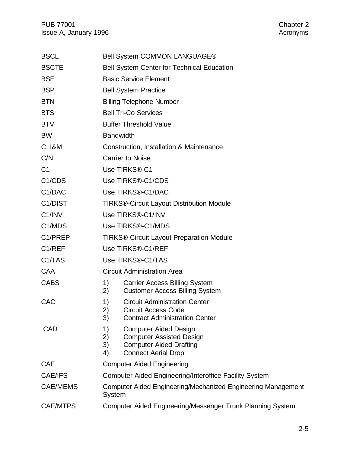| <b>BSCL</b>                     | Bell System COMMON LANGUAGE®                                                                                                                            |  |  |
|---------------------------------|---------------------------------------------------------------------------------------------------------------------------------------------------------|--|--|
| <b>BSCTE</b>                    | <b>Bell System Center for Technical Education</b>                                                                                                       |  |  |
| <b>BSE</b>                      | <b>Basic Service Element</b>                                                                                                                            |  |  |
| <b>BSP</b>                      | <b>Bell System Practice</b>                                                                                                                             |  |  |
| <b>BTN</b>                      | <b>Billing Telephone Number</b>                                                                                                                         |  |  |
| <b>BTS</b>                      | <b>Bell Tri-Co Services</b>                                                                                                                             |  |  |
| <b>BTV</b>                      | <b>Buffer Threshold Value</b>                                                                                                                           |  |  |
| <b>BW</b>                       | <b>Bandwidth</b>                                                                                                                                        |  |  |
| C, I&M                          | Construction, Installation & Maintenance                                                                                                                |  |  |
| C/N                             | <b>Carrier to Noise</b>                                                                                                                                 |  |  |
| C <sub>1</sub>                  | Use TIRKS®-C1                                                                                                                                           |  |  |
| C <sub>1</sub> /CDS             | Use TIRKS®-C1/CDS                                                                                                                                       |  |  |
| C1/DAC                          | Use TIRKS®-C1/DAC                                                                                                                                       |  |  |
| C1/DIST                         | <b>TIRKS<sup>®</sup>-Circuit Layout Distribution Module</b>                                                                                             |  |  |
| C <sub>1</sub> /IN <sub>V</sub> | Use TIRKS®-C1/INV                                                                                                                                       |  |  |
| C1/MDS                          | Use TIRKS®-C1/MDS                                                                                                                                       |  |  |
| C1/PREP                         | <b>TIRKS®-Circuit Layout Preparation Module</b>                                                                                                         |  |  |
| C1/REF                          | Use TIRKS®-C1/REF                                                                                                                                       |  |  |
| C1/TAS                          | Use TIRKS®-C1/TAS                                                                                                                                       |  |  |
| <b>CAA</b>                      | <b>Circuit Administration Area</b>                                                                                                                      |  |  |
| <b>CABS</b>                     | <b>Carrier Access Billing System</b><br>1)<br><b>Customer Access Billing System</b><br>2)                                                               |  |  |
| <b>CAC</b>                      | <b>Circuit Administration Center</b><br>1)<br>2)<br><b>Circuit Access Code</b><br>3)<br><b>Contract Administration Center</b>                           |  |  |
| <b>CAD</b>                      | 1)<br><b>Computer Aided Design</b><br>2)<br><b>Computer Assisted Design</b><br>3)<br><b>Computer Aided Drafting</b><br><b>Connect Aerial Drop</b><br>4) |  |  |
| <b>CAE</b>                      | <b>Computer Aided Engineering</b>                                                                                                                       |  |  |
| CAE/IFS                         | Computer Aided Engineering/Interoffice Facility System                                                                                                  |  |  |
| <b>CAE/MEMS</b>                 | Computer Aided Engineering/Mechanized Engineering Management<br><b>System</b>                                                                           |  |  |
| <b>CAE/MTPS</b>                 | Computer Aided Engineering/Messenger Trunk Planning System                                                                                              |  |  |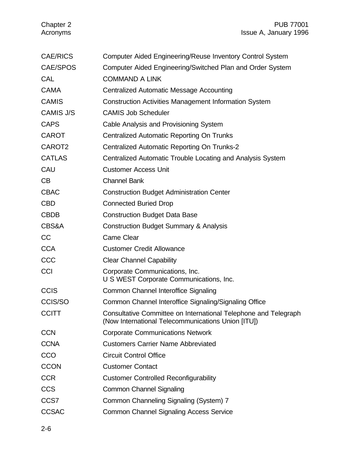| <b>CAE/RICS</b>    | Computer Aided Engineering/Reuse Inventory Control System                                                             |  |  |  |
|--------------------|-----------------------------------------------------------------------------------------------------------------------|--|--|--|
| CAE/SPOS           | Computer Aided Engineering/Switched Plan and Order System                                                             |  |  |  |
| <b>CAL</b>         | <b>COMMAND A LINK</b>                                                                                                 |  |  |  |
| <b>CAMA</b>        | Centralized Automatic Message Accounting                                                                              |  |  |  |
| <b>CAMIS</b>       | <b>Construction Activities Management Information System</b>                                                          |  |  |  |
| <b>CAMIS J/S</b>   | <b>CAMIS Job Scheduler</b>                                                                                            |  |  |  |
| <b>CAPS</b>        | Cable Analysis and Provisioning System                                                                                |  |  |  |
| <b>CAROT</b>       | <b>Centralized Automatic Reporting On Trunks</b>                                                                      |  |  |  |
| CAROT <sub>2</sub> | <b>Centralized Automatic Reporting On Trunks-2</b>                                                                    |  |  |  |
| <b>CATLAS</b>      | Centralized Automatic Trouble Locating and Analysis System                                                            |  |  |  |
| CAU                | <b>Customer Access Unit</b>                                                                                           |  |  |  |
| CВ                 | <b>Channel Bank</b>                                                                                                   |  |  |  |
| <b>CBAC</b>        | <b>Construction Budget Administration Center</b>                                                                      |  |  |  |
| <b>CBD</b>         | <b>Connected Buried Drop</b>                                                                                          |  |  |  |
| <b>CBDB</b>        | <b>Construction Budget Data Base</b>                                                                                  |  |  |  |
| CBS&A              | <b>Construction Budget Summary &amp; Analysis</b>                                                                     |  |  |  |
| CC                 | <b>Came Clear</b>                                                                                                     |  |  |  |
| <b>CCA</b>         | <b>Customer Credit Allowance</b>                                                                                      |  |  |  |
| CCC                | <b>Clear Channel Capability</b>                                                                                       |  |  |  |
| <b>CCI</b>         | Corporate Communications, Inc.<br>U S WEST Corporate Communications, Inc.                                             |  |  |  |
| <b>CCIS</b>        | Common Channel Interoffice Signaling                                                                                  |  |  |  |
| <b>CCIS/SO</b>     | Common Channel Interoffice Signaling/Signaling Office                                                                 |  |  |  |
| <b>CCITT</b>       | Consultative Committee on International Telephone and Telegraph<br>(Now International Telecommunications Union [ITU]) |  |  |  |
| <b>CCN</b>         | <b>Corporate Communications Network</b>                                                                               |  |  |  |
| <b>CCNA</b>        | <b>Customers Carrier Name Abbreviated</b>                                                                             |  |  |  |
| CCO                | <b>Circuit Control Office</b>                                                                                         |  |  |  |
| <b>CCON</b>        | <b>Customer Contact</b>                                                                                               |  |  |  |
| <b>CCR</b>         | <b>Customer Controlled Reconfigurability</b>                                                                          |  |  |  |
| <b>CCS</b>         | <b>Common Channel Signaling</b>                                                                                       |  |  |  |
| CCS7               | Common Channeling Signaling (System) 7                                                                                |  |  |  |
| <b>CCSAC</b>       | <b>Common Channel Signaling Access Service</b>                                                                        |  |  |  |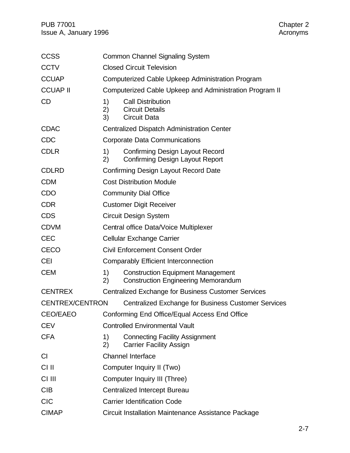| <b>CCSS</b>            | <b>Common Channel Signaling System</b>                     |                                                                                        |  |
|------------------------|------------------------------------------------------------|----------------------------------------------------------------------------------------|--|
| <b>CCTV</b>            | <b>Closed Circuit Television</b>                           |                                                                                        |  |
| <b>CCUAP</b>           | Computerized Cable Upkeep Administration Program           |                                                                                        |  |
| <b>CCUAP II</b>        |                                                            | Computerized Cable Upkeep and Administration Program II                                |  |
| <b>CD</b>              | 1)<br>2)<br>3)                                             | <b>Call Distribution</b><br><b>Circuit Details</b><br><b>Circuit Data</b>              |  |
| <b>CDAC</b>            |                                                            | <b>Centralized Dispatch Administration Center</b>                                      |  |
| <b>CDC</b>             |                                                            | <b>Corporate Data Communications</b>                                                   |  |
| <b>CDLR</b>            | 1)<br>2)                                                   | <b>Confirming Design Layout Record</b><br><b>Confirming Design Layout Report</b>       |  |
| <b>CDLRD</b>           |                                                            | Confirming Design Layout Record Date                                                   |  |
| <b>CDM</b>             |                                                            | <b>Cost Distribution Module</b>                                                        |  |
| CDO                    |                                                            | <b>Community Dial Office</b>                                                           |  |
| <b>CDR</b>             | <b>Customer Digit Receiver</b>                             |                                                                                        |  |
| <b>CDS</b>             | <b>Circuit Design System</b>                               |                                                                                        |  |
| <b>CDVM</b>            | Central office Data/Voice Multiplexer                      |                                                                                        |  |
| <b>CEC</b>             | <b>Cellular Exchange Carrier</b>                           |                                                                                        |  |
| <b>CECO</b>            | <b>Civil Enforcement Consent Order</b>                     |                                                                                        |  |
| <b>CEI</b>             | Comparably Efficient Interconnection                       |                                                                                        |  |
| <b>CEM</b>             | 1)<br>2)                                                   | <b>Construction Equipment Management</b><br><b>Construction Engineering Memorandum</b> |  |
| <b>CENTREX</b>         | <b>Centralized Exchange for Business Customer Services</b> |                                                                                        |  |
| <b>CENTREX/CENTRON</b> |                                                            | Centralized Exchange for Business Customer Services                                    |  |
| <b>CEO/EAEO</b>        |                                                            | Conforming End Office/Equal Access End Office                                          |  |
| <b>CEV</b>             |                                                            | <b>Controlled Environmental Vault</b>                                                  |  |
| <b>CFA</b>             | 1)<br>2)                                                   | <b>Connecting Facility Assignment</b><br><b>Carrier Facility Assign</b>                |  |
| <b>CI</b>              | <b>Channel Interface</b>                                   |                                                                                        |  |
| $CI$ II                | Computer Inquiry II (Two)                                  |                                                                                        |  |
| CI III                 | Computer Inquiry III (Three)                               |                                                                                        |  |
| <b>CIB</b>             | <b>Centralized Intercept Bureau</b>                        |                                                                                        |  |
| <b>CIC</b>             | <b>Carrier Identification Code</b>                         |                                                                                        |  |
| <b>CIMAP</b>           | Circuit Installation Maintenance Assistance Package        |                                                                                        |  |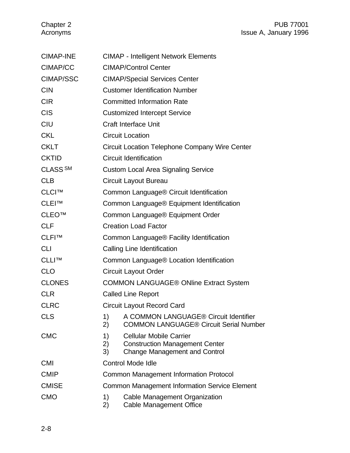| <b>CIMAP-INE</b>    |                | <b>CIMAP - Intelligent Network Elements</b>                                                                     |  |  |
|---------------------|----------------|-----------------------------------------------------------------------------------------------------------------|--|--|
| CIMAP/CC            |                | <b>CIMAP/Control Center</b>                                                                                     |  |  |
| <b>CIMAP/SSC</b>    |                | <b>CIMAP/Special Services Center</b>                                                                            |  |  |
| <b>CIN</b>          |                | <b>Customer Identification Number</b>                                                                           |  |  |
| <b>CIR</b>          |                | <b>Committed Information Rate</b>                                                                               |  |  |
| <b>CIS</b>          |                | <b>Customized Intercept Service</b>                                                                             |  |  |
| <b>CIU</b>          |                | <b>Craft Interface Unit</b>                                                                                     |  |  |
| <b>CKL</b>          |                | <b>Circuit Location</b>                                                                                         |  |  |
| <b>CKLT</b>         |                | Circuit Location Telephone Company Wire Center                                                                  |  |  |
| <b>CKTID</b>        |                | <b>Circuit Identification</b>                                                                                   |  |  |
| CLASS <sub>SM</sub> |                | <b>Custom Local Area Signaling Service</b>                                                                      |  |  |
| <b>CLB</b>          |                | Circuit Layout Bureau                                                                                           |  |  |
| <b>CLCI™</b>        |                | Common Language <sup>®</sup> Circuit Identification                                                             |  |  |
| CLEI™               |                | Common Language® Equipment Identification                                                                       |  |  |
| CLEO™               |                | Common Language® Equipment Order                                                                                |  |  |
| <b>CLF</b>          |                | <b>Creation Load Factor</b>                                                                                     |  |  |
| CLFI™               |                | Common Language® Facility Identification                                                                        |  |  |
| <b>CLI</b>          |                | Calling Line Identification                                                                                     |  |  |
| CLLI™               |                | Common Language® Location Identification                                                                        |  |  |
| <b>CLO</b>          |                | <b>Circuit Layout Order</b>                                                                                     |  |  |
| <b>CLONES</b>       |                | <b>COMMON LANGUAGE® ONline Extract System</b>                                                                   |  |  |
| <b>CLR</b>          |                | <b>Called Line Report</b>                                                                                       |  |  |
| <b>CLRC</b>         |                | <b>Circuit Layout Record Card</b>                                                                               |  |  |
| <b>CLS</b>          | 1)<br>2)       | A COMMON LANGUAGE® Circuit Identifier<br><b>COMMON LANGUAGE® Circuit Serial Number</b>                          |  |  |
| <b>CMC</b>          | 1)<br>2)<br>3) | <b>Cellular Mobile Carrier</b><br><b>Construction Management Center</b><br><b>Change Management and Control</b> |  |  |
| <b>CMI</b>          |                | <b>Control Mode Idle</b>                                                                                        |  |  |
| <b>CMIP</b>         |                | <b>Common Management Information Protocol</b>                                                                   |  |  |
| <b>CMISE</b>        |                | <b>Common Management Information Service Element</b>                                                            |  |  |
| <b>CMO</b>          | 1)<br>2)       | Cable Management Organization<br>Cable Management Office                                                        |  |  |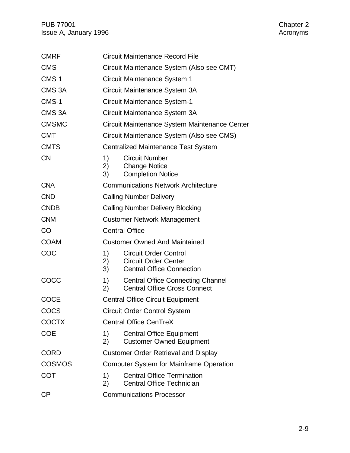| <b>CMRF</b>        | <b>Circuit Maintenance Record File</b>         |                                                                                                 |  |
|--------------------|------------------------------------------------|-------------------------------------------------------------------------------------------------|--|
| <b>CMS</b>         | Circuit Maintenance System (Also see CMT)      |                                                                                                 |  |
| CMS <sub>1</sub>   | Circuit Maintenance System 1                   |                                                                                                 |  |
| CMS <sub>3A</sub>  |                                                | Circuit Maintenance System 3A                                                                   |  |
| CMS-1              |                                                | <b>Circuit Maintenance System-1</b>                                                             |  |
| CMS <sub>3</sub> A |                                                | Circuit Maintenance System 3A                                                                   |  |
| <b>CMSMC</b>       |                                                | Circuit Maintenance System Maintenance Center                                                   |  |
| <b>CMT</b>         |                                                | Circuit Maintenance System (Also see CMS)                                                       |  |
| <b>CMTS</b>        |                                                | <b>Centralized Maintenance Test System</b>                                                      |  |
| <b>CN</b>          | 1)<br>2)<br>3)                                 | <b>Circuit Number</b><br><b>Change Notice</b><br><b>Completion Notice</b>                       |  |
| <b>CNA</b>         |                                                | <b>Communications Network Architecture</b>                                                      |  |
| <b>CND</b>         | <b>Calling Number Delivery</b>                 |                                                                                                 |  |
| <b>CNDB</b>        | <b>Calling Number Delivery Blocking</b>        |                                                                                                 |  |
| <b>CNM</b>         | <b>Customer Network Management</b>             |                                                                                                 |  |
| <b>CO</b>          | <b>Central Office</b>                          |                                                                                                 |  |
| <b>COAM</b>        |                                                | <b>Customer Owned And Maintained</b>                                                            |  |
| COC                | 1)<br>2)<br>3)                                 | <b>Circuit Order Control</b><br><b>Circuit Order Center</b><br><b>Central Office Connection</b> |  |
| COCC               | 1)<br>2)                                       | <b>Central Office Connecting Channel</b><br><b>Central Office Cross Connect</b>                 |  |
| <b>COCE</b>        | <b>Central Office Circuit Equipment</b>        |                                                                                                 |  |
| COCS               | <b>Circuit Order Control System</b>            |                                                                                                 |  |
| <b>COCTX</b>       | <b>Central Office CenTreX</b>                  |                                                                                                 |  |
| <b>COE</b>         | 1)<br>2)                                       | <b>Central Office Equipment</b><br><b>Customer Owned Equipment</b>                              |  |
| <b>CORD</b>        | <b>Customer Order Retrieval and Display</b>    |                                                                                                 |  |
| <b>COSMOS</b>      | <b>Computer System for Mainframe Operation</b> |                                                                                                 |  |
| <b>COT</b>         | 1)<br>2)                                       | <b>Central Office Termination</b><br><b>Central Office Technician</b>                           |  |
| <b>CP</b>          | <b>Communications Processor</b>                |                                                                                                 |  |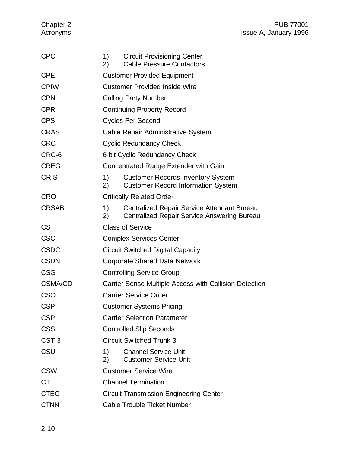| <b>CPC</b>       | 1)<br>2)                        | <b>Circuit Provisioning Center</b><br><b>Cable Pressure Contactors</b>                            |
|------------------|---------------------------------|---------------------------------------------------------------------------------------------------|
| <b>CPE</b>       |                                 | <b>Customer Provided Equipment</b>                                                                |
| <b>CPIW</b>      |                                 | <b>Customer Provided Inside Wire</b>                                                              |
| <b>CPN</b>       |                                 | <b>Calling Party Number</b>                                                                       |
| <b>CPR</b>       |                                 | <b>Continuing Property Record</b>                                                                 |
| <b>CPS</b>       |                                 | <b>Cycles Per Second</b>                                                                          |
| <b>CRAS</b>      |                                 | Cable Repair Administrative System                                                                |
| <b>CRC</b>       |                                 | <b>Cyclic Redundancy Check</b>                                                                    |
| CRC-6            |                                 | 6 bit Cyclic Redundancy Check                                                                     |
| <b>CREG</b>      |                                 | Concentrated Range Extender with Gain                                                             |
| <b>CRIS</b>      | 1)<br>2)                        | <b>Customer Records Inventory System</b><br><b>Customer Record Information System</b>             |
| <b>CRO</b>       | <b>Critically Related Order</b> |                                                                                                   |
| <b>CRSAB</b>     | 1)<br>2)                        | Centralized Repair Service Attendant Bureau<br><b>Centralized Repair Service Answering Bureau</b> |
| <b>CS</b>        | <b>Class of Service</b>         |                                                                                                   |
| <b>CSC</b>       |                                 | <b>Complex Services Center</b>                                                                    |
| <b>CSDC</b>      |                                 | <b>Circuit Switched Digital Capacity</b>                                                          |
| <b>CSDN</b>      |                                 | <b>Corporate Shared Data Network</b>                                                              |
| <b>CSG</b>       |                                 | <b>Controlling Service Group</b>                                                                  |
| <b>CSMA/CD</b>   |                                 | Carrier Sense Multiple Access with Collision Detection                                            |
| <b>CSO</b>       |                                 | <b>Carrier Service Order</b>                                                                      |
| <b>CSP</b>       |                                 | <b>Customer Systems Pricing</b>                                                                   |
| <b>CSP</b>       |                                 | <b>Carrier Selection Parameter</b>                                                                |
| <b>CSS</b>       |                                 | <b>Controlled Slip Seconds</b>                                                                    |
| CST <sub>3</sub> |                                 | <b>Circuit Switched Trunk 3</b>                                                                   |
| CSU              | 1)<br>(2)                       | <b>Channel Service Unit</b><br><b>Customer Service Unit</b>                                       |
| <b>CSW</b>       |                                 | <b>Customer Service Wire</b>                                                                      |
| <b>CT</b>        |                                 | <b>Channel Termination</b>                                                                        |
| <b>CTEC</b>      |                                 | <b>Circuit Transmission Engineering Center</b>                                                    |
| <b>CTNN</b>      |                                 | Cable Trouble Ticket Number                                                                       |
|                  |                                 |                                                                                                   |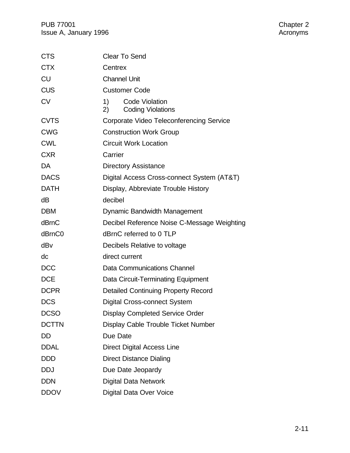| <b>CTS</b>   | <b>Clear To Send</b>                                                    |
|--------------|-------------------------------------------------------------------------|
| <b>CTX</b>   | Centrex                                                                 |
| <b>CU</b>    | <b>Channel Unit</b>                                                     |
| <b>CUS</b>   | <b>Customer Code</b>                                                    |
| <b>CV</b>    | <b>Code Violation</b><br>1)<br><b>Coding Violations</b><br>$\mathbf{2}$ |
| <b>CVTS</b>  | <b>Corporate Video Teleconferencing Service</b>                         |
| <b>CWG</b>   | <b>Construction Work Group</b>                                          |
| <b>CWL</b>   | <b>Circuit Work Location</b>                                            |
| <b>CXR</b>   | Carrier                                                                 |
| DA           | <b>Directory Assistance</b>                                             |
| <b>DACS</b>  | Digital Access Cross-connect System (AT&T)                              |
| <b>DATH</b>  | Display, Abbreviate Trouble History                                     |
| dB           | decibel                                                                 |
| <b>DBM</b>   | Dynamic Bandwidth Management                                            |
| dBrnC        | Decibel Reference Noise C-Message Weighting                             |
| dBrnC0       | dBrnC referred to 0 TLP                                                 |
| dBv          | Decibels Relative to voltage                                            |
| dc           | direct current                                                          |
| <b>DCC</b>   | Data Communications Channel                                             |
| <b>DCE</b>   | Data Circuit-Terminating Equipment                                      |
| <b>DCPR</b>  | <b>Detailed Continuing Property Record</b>                              |
| <b>DCS</b>   | Digital Cross-connect System                                            |
| <b>DCSO</b>  | <b>Display Completed Service Order</b>                                  |
| <b>DCTTN</b> | Display Cable Trouble Ticket Number                                     |
| <b>DD</b>    | Due Date                                                                |
| <b>DDAL</b>  | <b>Direct Digital Access Line</b>                                       |
| <b>DDD</b>   | <b>Direct Distance Dialing</b>                                          |
| <b>DDJ</b>   | Due Date Jeopardy                                                       |
| <b>DDN</b>   | <b>Digital Data Network</b>                                             |
| <b>DDOV</b>  | Digital Data Over Voice                                                 |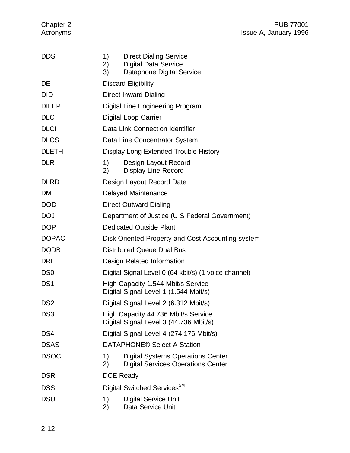| <b>DDS</b>      | 1)<br>2)<br>3) | <b>Direct Dialing Service</b><br><b>Digital Data Service</b><br>Dataphone Digital Service |  |
|-----------------|----------------|-------------------------------------------------------------------------------------------|--|
| DE              |                | <b>Discard Eligibility</b>                                                                |  |
| <b>DID</b>      |                | <b>Direct Inward Dialing</b>                                                              |  |
| <b>DILEP</b>    |                | Digital Line Engineering Program                                                          |  |
| <b>DLC</b>      |                | <b>Digital Loop Carrier</b>                                                               |  |
| <b>DLCI</b>     |                | Data Link Connection Identifier                                                           |  |
| <b>DLCS</b>     |                | Data Line Concentrator System                                                             |  |
| <b>DLETH</b>    |                | Display Long Extended Trouble History                                                     |  |
| <b>DLR</b>      | 1)<br>2)       | Design Layout Record<br><b>Display Line Record</b>                                        |  |
| <b>DLRD</b>     |                | Design Layout Record Date                                                                 |  |
| <b>DM</b>       |                | Delayed Maintenance                                                                       |  |
| <b>DOD</b>      |                | <b>Direct Outward Dialing</b>                                                             |  |
| <b>DOJ</b>      |                | Department of Justice (U S Federal Government)                                            |  |
| <b>DOP</b>      |                | <b>Dedicated Outside Plant</b>                                                            |  |
| <b>DOPAC</b>    |                | Disk Oriented Property and Cost Accounting system                                         |  |
| <b>DQDB</b>     |                | <b>Distributed Queue Dual Bus</b>                                                         |  |
| <b>DRI</b>      |                | Design Related Information                                                                |  |
| D <sub>S0</sub> |                | Digital Signal Level 0 (64 kbit/s) (1 voice channel)                                      |  |
| DS <sub>1</sub> |                | High Capacity 1.544 Mbit/s Service<br>Digital Signal Level 1 (1.544 Mbit/s)               |  |
| DS <sub>2</sub> |                | Digital Signal Level 2 (6.312 Mbit/s)                                                     |  |
| DS <sub>3</sub> |                | High Capacity 44.736 Mbit/s Service<br>Digital Signal Level 3 (44.736 Mbit/s)             |  |
| DS4             |                | Digital Signal Level 4 (274.176 Mbit/s)                                                   |  |
| <b>DSAS</b>     |                | DATAPHONE <sup>®</sup> Select-A-Station                                                   |  |
| <b>DSOC</b>     | 1)<br>2)       | <b>Digital Systems Operations Center</b><br><b>Digital Services Operations Center</b>     |  |
| <b>DSR</b>      |                | <b>DCE Ready</b>                                                                          |  |
| <b>DSS</b>      |                | Digital Switched Services <sup>SM</sup>                                                   |  |
| <b>DSU</b>      | 1)<br>2)       | <b>Digital Service Unit</b><br>Data Service Unit                                          |  |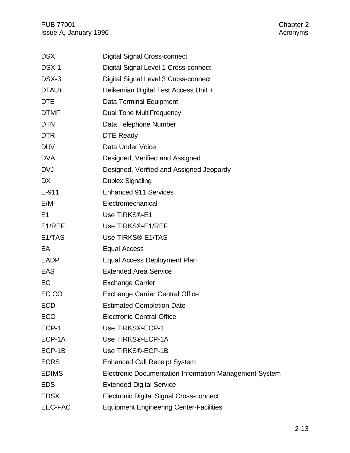| <b>DSX</b>          | <b>Digital Signal Cross-connect</b>                           |
|---------------------|---------------------------------------------------------------|
| DSX-1               | Digital Signal Level 1 Cross-connect                          |
| DSX-3               | Digital Signal Level 3 Cross-connect                          |
| DTAU+               | Heikemian Digital Test Access Unit +                          |
| <b>DTE</b>          | Data Terminal Equipment                                       |
| <b>DTMF</b>         | <b>Dual Tone MultiFrequency</b>                               |
| <b>DTN</b>          | Data Telephone Number                                         |
| <b>DTR</b>          | <b>DTE Ready</b>                                              |
| <b>DUV</b>          | Data Under Voice                                              |
| <b>DVA</b>          | Designed, Verified and Assigned                               |
| <b>DVJ</b>          | Designed, Verified and Assigned Jeopardy                      |
| <b>DX</b>           | <b>Duplex Signaling</b>                                       |
| E-911               | <b>Enhanced 911 Services</b>                                  |
| E/M                 | Electromechanical                                             |
| E <sub>1</sub>      | Use TIRKS®-E1                                                 |
| E1/REF              | Use TIRKS®-E1/REF                                             |
| E <sub>1</sub> /TAS | Use TIRKS®-E1/TAS                                             |
| EA                  | <b>Equal Access</b>                                           |
| <b>EADP</b>         | Equal Access Deployment Plan                                  |
| <b>EAS</b>          | <b>Extended Area Service</b>                                  |
| EC                  | <b>Exchange Carrier</b>                                       |
| EC CO               | <b>Exchange Carrier Central Office</b>                        |
| <b>ECD</b>          | <b>Estimated Completion Date</b>                              |
| <b>ECO</b>          | <b>Electronic Central Office</b>                              |
| ECP-1               | Use TIRKS®-ECP-1                                              |
| ECP-1A              | Use TIRKS®-ECP-1A                                             |
| ECP-1B              | Use TIRKS®-ECP-1B                                             |
| <b>ECRS</b>         | <b>Enhanced Call Receipt System</b>                           |
| <b>EDIMS</b>        | <b>Electronic Documentation Information Management System</b> |
| <b>EDS</b>          | <b>Extended Digital Service</b>                               |
| <b>EDSX</b>         | <b>Electronic Digital Signal Cross-connect</b>                |
| <b>EEC-FAC</b>      | <b>Equipment Engineering Center-Facilities</b>                |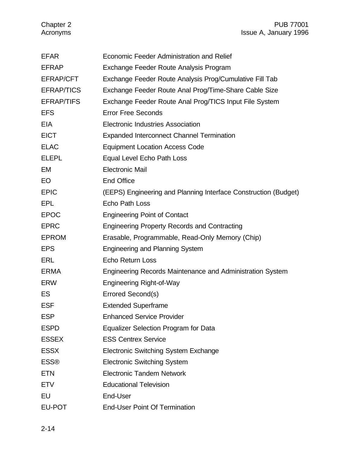| <b>EFAR</b>       | Economic Feeder Administration and Relief                       |
|-------------------|-----------------------------------------------------------------|
| <b>EFRAP</b>      | Exchange Feeder Route Analysis Program                          |
| EFRAP/CFT         | Exchange Feeder Route Analysis Prog/Cumulative Fill Tab         |
| <b>EFRAP/TICS</b> | Exchange Feeder Route Anal Prog/Time-Share Cable Size           |
| <b>EFRAP/TIFS</b> | Exchange Feeder Route Anal Prog/TICS Input File System          |
| <b>EFS</b>        | <b>Error Free Seconds</b>                                       |
| <b>EIA</b>        | <b>Electronic Industries Association</b>                        |
| <b>EICT</b>       | <b>Expanded Interconnect Channel Termination</b>                |
| <b>ELAC</b>       | <b>Equipment Location Access Code</b>                           |
| <b>ELEPL</b>      | Equal Level Echo Path Loss                                      |
| EM                | <b>Electronic Mail</b>                                          |
| EO                | <b>End Office</b>                                               |
| <b>EPIC</b>       | (EEPS) Engineering and Planning Interface Construction (Budget) |
| <b>EPL</b>        | <b>Echo Path Loss</b>                                           |
| <b>EPOC</b>       | <b>Engineering Point of Contact</b>                             |
| <b>EPRC</b>       | <b>Engineering Property Records and Contracting</b>             |
| <b>EPROM</b>      | Erasable, Programmable, Read-Only Memory (Chip)                 |
| <b>EPS</b>        | <b>Engineering and Planning System</b>                          |
| <b>ERL</b>        | <b>Echo Return Loss</b>                                         |
| <b>ERMA</b>       | Engineering Records Maintenance and Administration System       |
| <b>ERW</b>        | <b>Engineering Right-of-Way</b>                                 |
| ES                | Errored Second(s)                                               |
| <b>ESF</b>        | <b>Extended Superframe</b>                                      |
| <b>ESP</b>        | <b>Enhanced Service Provider</b>                                |
| <b>ESPD</b>       | Equalizer Selection Program for Data                            |
| <b>ESSEX</b>      | <b>ESS Centrex Service</b>                                      |
| <b>ESSX</b>       | <b>Electronic Switching System Exchange</b>                     |
| <b>ESS®</b>       | <b>Electronic Switching System</b>                              |
| <b>ETN</b>        | <b>Electronic Tandem Network</b>                                |
| <b>ETV</b>        | <b>Educational Television</b>                                   |
| EU                | End-User                                                        |
| EU-POT            | <b>End-User Point Of Termination</b>                            |
|                   |                                                                 |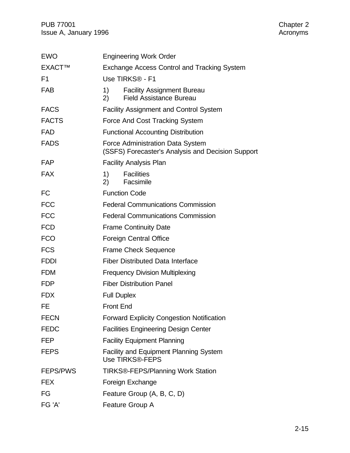| <b>EWO</b>      | <b>Engineering Work Order</b>                                                         |
|-----------------|---------------------------------------------------------------------------------------|
| <b>EXACT™</b>   | Exchange Access Control and Tracking System                                           |
| F <sub>1</sub>  | Use TIRKS® - F1                                                                       |
| <b>FAB</b>      | 1)<br><b>Facility Assignment Bureau</b><br><b>Field Assistance Bureau</b><br>2)       |
| <b>FACS</b>     | <b>Facility Assignment and Control System</b>                                         |
| <b>FACTS</b>    | Force And Cost Tracking System                                                        |
| <b>FAD</b>      | <b>Functional Accounting Distribution</b>                                             |
| <b>FADS</b>     | Force Administration Data System<br>(SSFS) Forecaster's Analysis and Decision Support |
| <b>FAP</b>      | <b>Facility Analysis Plan</b>                                                         |
| <b>FAX</b>      | <b>Facilities</b><br>1)<br>(2)<br>Facsimile                                           |
| FC              | <b>Function Code</b>                                                                  |
| <b>FCC</b>      | <b>Federal Communications Commission</b>                                              |
| <b>FCC</b>      | <b>Federal Communications Commission</b>                                              |
| <b>FCD</b>      | <b>Frame Continuity Date</b>                                                          |
| <b>FCO</b>      | <b>Foreign Central Office</b>                                                         |
| <b>FCS</b>      | <b>Frame Check Sequence</b>                                                           |
| <b>FDDI</b>     | <b>Fiber Distributed Data Interface</b>                                               |
| <b>FDM</b>      | <b>Frequency Division Multiplexing</b>                                                |
| <b>FDP</b>      | <b>Fiber Distribution Panel</b>                                                       |
| <b>FDX</b>      | <b>Full Duplex</b>                                                                    |
| FE              | <b>Front End</b>                                                                      |
| <b>FECN</b>     | <b>Forward Explicity Congestion Notification</b>                                      |
| <b>FEDC</b>     | <b>Facilities Engineering Design Center</b>                                           |
| <b>FEP</b>      | <b>Facility Equipment Planning</b>                                                    |
| <b>FEPS</b>     | <b>Facility and Equipment Planning System</b><br>Use TIRKS®-FEPS                      |
| <b>FEPS/PWS</b> | <b>TIRKS®-FEPS/Planning Work Station</b>                                              |
| <b>FEX</b>      | Foreign Exchange                                                                      |
| FG              | Feature Group (A, B, C, D)                                                            |
| FG 'A'          | Feature Group A                                                                       |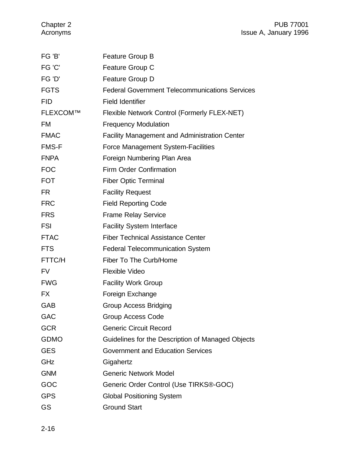| FG 'B'       | <b>Feature Group B</b>                                |
|--------------|-------------------------------------------------------|
| FG 'C'       | Feature Group C                                       |
| FG 'D'       | Feature Group D                                       |
| <b>FGTS</b>  | <b>Federal Government Telecommunications Services</b> |
| <b>FID</b>   | <b>Field Identifier</b>                               |
| FLEXCOM™     | Flexible Network Control (Formerly FLEX-NET)          |
| <b>FM</b>    | <b>Frequency Modulation</b>                           |
| <b>FMAC</b>  | <b>Facility Management and Administration Center</b>  |
| <b>FMS-F</b> | <b>Force Management System-Facilities</b>             |
| <b>FNPA</b>  | Foreign Numbering Plan Area                           |
| <b>FOC</b>   | <b>Firm Order Confirmation</b>                        |
| <b>FOT</b>   | <b>Fiber Optic Terminal</b>                           |
| <b>FR</b>    | <b>Facility Request</b>                               |
| <b>FRC</b>   | <b>Field Reporting Code</b>                           |
| <b>FRS</b>   | <b>Frame Relay Service</b>                            |
| <b>FSI</b>   | <b>Facility System Interface</b>                      |
| <b>FTAC</b>  | <b>Fiber Technical Assistance Center</b>              |
| <b>FTS</b>   | <b>Federal Telecommunication System</b>               |
| FTTC/H       | Fiber To The Curb/Home                                |
| <b>FV</b>    | <b>Flexible Video</b>                                 |
| <b>FWG</b>   | <b>Facility Work Group</b>                            |
| <b>FX</b>    | Foreign Exchange                                      |
| <b>GAB</b>   | <b>Group Access Bridging</b>                          |
| <b>GAC</b>   | <b>Group Access Code</b>                              |
| <b>GCR</b>   | <b>Generic Circuit Record</b>                         |
| <b>GDMO</b>  | Guidelines for the Description of Managed Objects     |
| <b>GES</b>   | <b>Government and Education Services</b>              |
| GHz          | Gigahertz                                             |
| <b>GNM</b>   | <b>Generic Network Model</b>                          |
| GOC          | Generic Order Control (Use TIRKS®-GOC)                |
| <b>GPS</b>   | <b>Global Positioning System</b>                      |
| GS           | <b>Ground Start</b>                                   |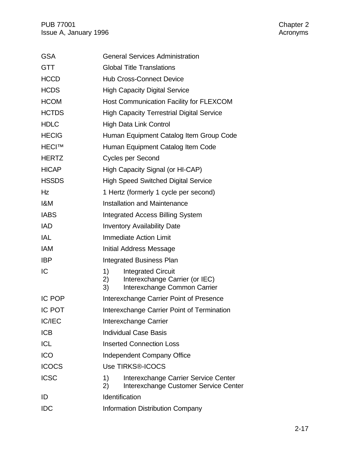| <b>GSA</b>    | <b>General Services Administration</b>                                                                        |
|---------------|---------------------------------------------------------------------------------------------------------------|
| <b>GTT</b>    | <b>Global Title Translations</b>                                                                              |
| <b>HCCD</b>   | <b>Hub Cross-Connect Device</b>                                                                               |
| <b>HCDS</b>   | <b>High Capacity Digital Service</b>                                                                          |
| <b>HCOM</b>   | Host Communication Facility for FLEXCOM                                                                       |
| <b>HCTDS</b>  | <b>High Capacity Terrestrial Digital Service</b>                                                              |
| <b>HDLC</b>   | High Data Link Control                                                                                        |
| <b>HECIG</b>  | Human Equipment Catalog Item Group Code                                                                       |
| <b>HECI™</b>  | Human Equipment Catalog Item Code                                                                             |
| <b>HERTZ</b>  | Cycles per Second                                                                                             |
| <b>HICAP</b>  | High Capacity Signal (or HI-CAP)                                                                              |
| <b>HSSDS</b>  | <b>High Speed Switched Digital Service</b>                                                                    |
| Hz            | 1 Hertz (formerly 1 cycle per second)                                                                         |
| I&M           | <b>Installation and Maintenance</b>                                                                           |
| <b>IABS</b>   | <b>Integrated Access Billing System</b>                                                                       |
| <b>IAD</b>    | <b>Inventory Availability Date</b>                                                                            |
| IAL           | <b>Immediate Action Limit</b>                                                                                 |
| <b>IAM</b>    | Initial Address Message                                                                                       |
| <b>IBP</b>    | <b>Integrated Business Plan</b>                                                                               |
| IC            | 1)<br><b>Integrated Circuit</b><br>Interexchange Carrier (or IEC)<br>2)<br>Interexchange Common Carrier<br>3) |
| <b>IC POP</b> | Interexchange Carrier Point of Presence                                                                       |
| <b>IC POT</b> | Interexchange Carrier Point of Termination                                                                    |
| <b>IC/IEC</b> | Interexchange Carrier                                                                                         |
| <b>ICB</b>    | <b>Individual Case Basis</b>                                                                                  |
| <b>ICL</b>    | <b>Inserted Connection Loss</b>                                                                               |
| <b>ICO</b>    | <b>Independent Company Office</b>                                                                             |
| <b>ICOCS</b>  | Use TIRKS®-ICOCS                                                                                              |
| <b>ICSC</b>   | 1)<br>Interexchange Carrier Service Center<br>2)<br>Interexchange Customer Service Center                     |
| ID            | Identification                                                                                                |
| <b>IDC</b>    | <b>Information Distribution Company</b>                                                                       |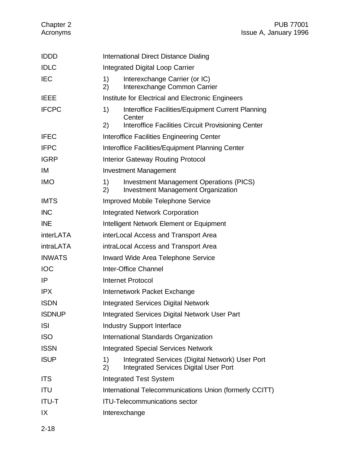| <b>IDDD</b>      |                                           | International Direct Distance Dialing                                                           |
|------------------|-------------------------------------------|-------------------------------------------------------------------------------------------------|
| <b>IDLC</b>      |                                           | <b>Integrated Digital Loop Carrier</b>                                                          |
| <b>IEC</b>       | 1)<br>2)                                  | Interexchange Carrier (or IC)<br>Interexchange Common Carrier                                   |
| <b>IEEE</b>      |                                           | Institute for Electrical and Electronic Engineers                                               |
| <b>IFCPC</b>     | 1)                                        | Interoffice Facilities/Equipment Current Planning<br>Center                                     |
|                  | 2)                                        | Interoffice Facilities Circuit Provisioning Center                                              |
| <b>IFEC</b>      | Interoffice Facilities Engineering Center |                                                                                                 |
| <b>IFPC</b>      |                                           | Interoffice Facilities/Equipment Planning Center                                                |
| <b>IGRP</b>      |                                           | <b>Interior Gateway Routing Protocol</b>                                                        |
| IM               | <b>Investment Management</b>              |                                                                                                 |
| <b>IMO</b>       | 1)<br>2)                                  | <b>Investment Management Operations (PICS)</b><br><b>Investment Management Organization</b>     |
| <b>IMTS</b>      | <b>Improved Mobile Telephone Service</b>  |                                                                                                 |
| <b>INC</b>       |                                           | <b>Integrated Network Corporation</b>                                                           |
| <b>INE</b>       |                                           | Intelligent Network Element or Equipment                                                        |
| <i>interLATA</i> |                                           | interLocal Access and Transport Area                                                            |
| intraLATA        |                                           | intraLocal Access and Transport Area                                                            |
| <b>INWATS</b>    |                                           | <b>Inward Wide Area Telephone Service</b>                                                       |
| <b>IOC</b>       |                                           | <b>Inter-Office Channel</b>                                                                     |
| IP               |                                           | <b>Internet Protocol</b>                                                                        |
| <b>IPX</b>       |                                           | Internetwork Packet Exchange                                                                    |
| <b>ISDN</b>      |                                           | <b>Integrated Services Digital Network</b>                                                      |
| <b>ISDNUP</b>    |                                           | <b>Integrated Services Digital Network User Part</b>                                            |
| <b>ISI</b>       |                                           | <b>Industry Support Interface</b>                                                               |
| <b>ISO</b>       |                                           | International Standards Organization                                                            |
| <b>ISSN</b>      |                                           | <b>Integrated Special Services Network</b>                                                      |
| <b>ISUP</b>      | 1)<br>2)                                  | Integrated Services (Digital Network) User Port<br><b>Integrated Services Digital User Port</b> |
| <b>ITS</b>       |                                           | <b>Integrated Test System</b>                                                                   |
| <b>ITU</b>       |                                           | International Telecommunications Union (formerly CCITT)                                         |
| <b>ITU-T</b>     |                                           | <b>ITU-Telecommunications sector</b>                                                            |
| IX               |                                           | Interexchange                                                                                   |
|                  |                                           |                                                                                                 |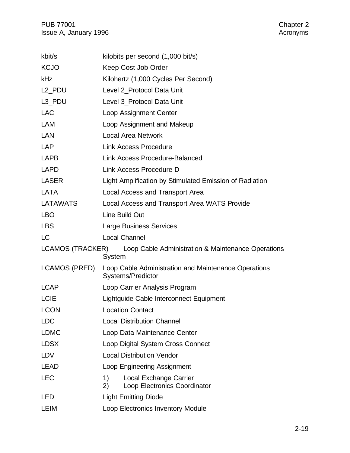PUB 77001 Chapter 2<br>
Issue A, January 1996 Chapter 2 Issue A, January 1996

| kbit/s                  | kilobits per second (1,000 bit/s)                                                |
|-------------------------|----------------------------------------------------------------------------------|
| <b>KCJO</b>             | Keep Cost Job Order                                                              |
| kHz                     | Kilohertz (1,000 Cycles Per Second)                                              |
| L <sub>2</sub> PDU      | Level 2_Protocol Data Unit                                                       |
| L <sub>3</sub> _PDU     | Level 3_Protocol Data Unit                                                       |
| <b>LAC</b>              | Loop Assignment Center                                                           |
| <b>LAM</b>              | Loop Assignment and Makeup                                                       |
| LAN                     | <b>Local Area Network</b>                                                        |
| LAP                     | <b>Link Access Procedure</b>                                                     |
| <b>LAPB</b>             | <b>Link Access Procedure-Balanced</b>                                            |
| <b>LAPD</b>             | Link Access Procedure D                                                          |
| <b>LASER</b>            | Light Amplification by Stimulated Emission of Radiation                          |
| LATA                    | <b>Local Access and Transport Area</b>                                           |
| <b>LATAWATS</b>         | Local Access and Transport Area WATS Provide                                     |
| <b>LBO</b>              | Line Build Out                                                                   |
| <b>LBS</b>              | <b>Large Business Services</b>                                                   |
| <b>LC</b>               | <b>Local Channel</b>                                                             |
| <b>LCAMOS (TRACKER)</b> | Loop Cable Administration & Maintenance Operations<br>System                     |
| LCAMOS (PRED)           | Loop Cable Administration and Maintenance Operations<br>Systems/Predictor        |
| <b>LCAP</b>             | Loop Carrier Analysis Program                                                    |
| <b>LCIE</b>             | Lightguide Cable Interconnect Equipment                                          |
| <b>LCON</b>             | <b>Location Contact</b>                                                          |
| <b>LDC</b>              | <b>Local Distribution Channel</b>                                                |
| <b>LDMC</b>             | Loop Data Maintenance Center                                                     |
| <b>LDSX</b>             | Loop Digital System Cross Connect                                                |
| <b>LDV</b>              | <b>Local Distribution Vendor</b>                                                 |
| <b>LEAD</b>             | Loop Engineering Assignment                                                      |
| <b>LEC</b>              |                                                                                  |
|                         | 1)<br><b>Local Exchange Carrier</b><br>2)<br><b>Loop Electronics Coordinator</b> |
| LED                     | <b>Light Emitting Diode</b>                                                      |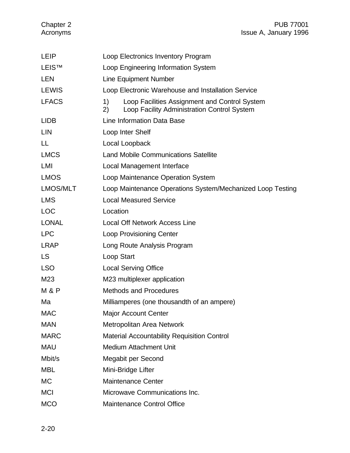| Loop Electronics Inventory Program                                                                       |
|----------------------------------------------------------------------------------------------------------|
| Loop Engineering Information System                                                                      |
| Line Equipment Number                                                                                    |
| Loop Electronic Warehouse and Installation Service                                                       |
| 1)<br>Loop Facilities Assignment and Control System<br>Loop Facility Administration Control System<br>2) |
| Line Information Data Base                                                                               |
| Loop Inter Shelf                                                                                         |
| Local Loopback                                                                                           |
| <b>Land Mobile Communications Satellite</b>                                                              |
| Local Management Interface                                                                               |
| Loop Maintenance Operation System                                                                        |
| Loop Maintenance Operations System/Mechanized Loop Testing                                               |
| <b>Local Measured Service</b>                                                                            |
| Location                                                                                                 |
| <b>Local Off Network Access Line</b>                                                                     |
| <b>Loop Provisioning Center</b>                                                                          |
| Long Route Analysis Program                                                                              |
| Loop Start                                                                                               |
| <b>Local Serving Office</b>                                                                              |
| M23 multiplexer application                                                                              |
| <b>Methods and Procedures</b>                                                                            |
| Milliamperes (one thousandth of an ampere)                                                               |
| <b>Major Account Center</b>                                                                              |
| Metropolitan Area Network                                                                                |
| <b>Material Accountability Requisition Control</b>                                                       |
| <b>Medium Attachment Unit</b>                                                                            |
| Megabit per Second                                                                                       |
| Mini-Bridge Lifter                                                                                       |
| <b>Maintenance Center</b>                                                                                |
| Microwave Communications Inc.                                                                            |
| <b>Maintenance Control Office</b>                                                                        |
|                                                                                                          |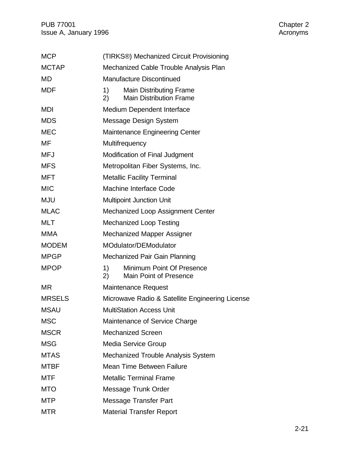| <b>MCP</b>    | (TIRKS®) Mechanized Circuit Provisioning                                     |  |  |
|---------------|------------------------------------------------------------------------------|--|--|
| <b>MCTAP</b>  | Mechanized Cable Trouble Analysis Plan                                       |  |  |
| <b>MD</b>     | <b>Manufacture Discontinued</b>                                              |  |  |
| <b>MDF</b>    | 1)<br><b>Main Distributing Frame</b><br><b>Main Distribution Frame</b><br>2) |  |  |
| <b>MDI</b>    | Medium Dependent Interface                                                   |  |  |
| <b>MDS</b>    | Message Design System                                                        |  |  |
| <b>MEC</b>    | <b>Maintenance Engineering Center</b>                                        |  |  |
| MF            | Multifrequency                                                               |  |  |
| <b>MFJ</b>    | Modification of Final Judgment                                               |  |  |
| <b>MFS</b>    | Metropolitan Fiber Systems, Inc.                                             |  |  |
| <b>MFT</b>    | <b>Metallic Facility Terminal</b>                                            |  |  |
| <b>MIC</b>    | <b>Machine Interface Code</b>                                                |  |  |
| <b>MJU</b>    | <b>Multipoint Junction Unit</b>                                              |  |  |
| <b>MLAC</b>   | Mechanized Loop Assignment Center                                            |  |  |
| <b>MLT</b>    | <b>Mechanized Loop Testing</b>                                               |  |  |
| <b>MMA</b>    | Mechanized Mapper Assigner                                                   |  |  |
| <b>MODEM</b>  | MOdulator/DEModulator                                                        |  |  |
| <b>MPGP</b>   | Mechanized Pair Gain Planning                                                |  |  |
| <b>MPOP</b>   | 1)<br>Minimum Point Of Presence<br>Main Point of Presence<br>2)              |  |  |
| MR            | <b>Maintenance Request</b>                                                   |  |  |
| <b>MRSELS</b> | Microwave Radio & Satellite Engineering License                              |  |  |
| <b>MSAU</b>   | <b>MultiStation Access Unit</b>                                              |  |  |
| <b>MSC</b>    | Maintenance of Service Charge                                                |  |  |
| <b>MSCR</b>   | <b>Mechanized Screen</b>                                                     |  |  |
| <b>MSG</b>    | <b>Media Service Group</b>                                                   |  |  |
| <b>MTAS</b>   | <b>Mechanized Trouble Analysis System</b>                                    |  |  |
| <b>MTBF</b>   | Mean Time Between Failure                                                    |  |  |
| <b>MTF</b>    | <b>Metallic Terminal Frame</b>                                               |  |  |
| <b>MTO</b>    | Message Trunk Order                                                          |  |  |
| <b>MTP</b>    | <b>Message Transfer Part</b>                                                 |  |  |
| <b>MTR</b>    | <b>Material Transfer Report</b>                                              |  |  |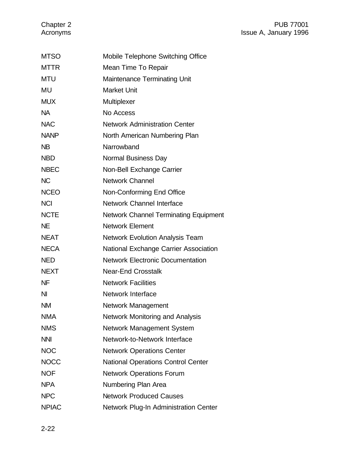| <b>MTSO</b>  | Mobile Telephone Switching Office            |
|--------------|----------------------------------------------|
| <b>MTTR</b>  | Mean Time To Repair                          |
| <b>MTU</b>   | <b>Maintenance Terminating Unit</b>          |
| MU           | <b>Market Unit</b>                           |
| <b>MUX</b>   | Multiplexer                                  |
| <b>NA</b>    | No Access                                    |
| <b>NAC</b>   | <b>Network Administration Center</b>         |
| <b>NANP</b>  | North American Numbering Plan                |
| <b>NB</b>    | Narrowband                                   |
| <b>NBD</b>   | Normal Business Day                          |
| <b>NBEC</b>  | Non-Bell Exchange Carrier                    |
| <b>NC</b>    | <b>Network Channel</b>                       |
| <b>NCEO</b>  | Non-Conforming End Office                    |
| <b>NCI</b>   | <b>Network Channel Interface</b>             |
| <b>NCTE</b>  | <b>Network Channel Terminating Equipment</b> |
| <b>NE</b>    | <b>Network Element</b>                       |
| <b>NEAT</b>  | <b>Network Evolution Analysis Team</b>       |
| <b>NECA</b>  | National Exchange Carrier Association        |
| <b>NED</b>   | <b>Network Electronic Documentation</b>      |
| <b>NEXT</b>  | <b>Near-End Crosstalk</b>                    |
| <b>NF</b>    | <b>Network Facilities</b>                    |
| NI           | <b>Network Interface</b>                     |
| <b>NM</b>    | Network Management                           |
| <b>NMA</b>   | <b>Network Monitoring and Analysis</b>       |
| <b>NMS</b>   | <b>Network Management System</b>             |
| <b>NNI</b>   | Network-to-Network Interface                 |
| <b>NOC</b>   | <b>Network Operations Center</b>             |
| <b>NOCC</b>  | <b>National Operations Control Center</b>    |
| <b>NOF</b>   | <b>Network Operations Forum</b>              |
| <b>NPA</b>   | Numbering Plan Area                          |
| <b>NPC</b>   | <b>Network Produced Causes</b>               |
| <b>NPIAC</b> | Network Plug-In Administration Center        |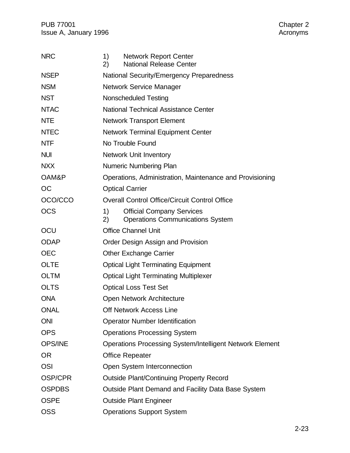| <b>NRC</b>     | 1)<br>2)  | <b>Network Report Center</b><br><b>National Release Center</b>              |  |  |
|----------------|-----------|-----------------------------------------------------------------------------|--|--|
| <b>NSEP</b>    |           | <b>National Security/Emergency Preparedness</b>                             |  |  |
| <b>NSM</b>     |           | <b>Network Service Manager</b>                                              |  |  |
| <b>NST</b>     |           | Nonscheduled Testing                                                        |  |  |
| <b>NTAC</b>    |           | National Technical Assistance Center                                        |  |  |
| <b>NTE</b>     |           | <b>Network Transport Element</b>                                            |  |  |
| <b>NTEC</b>    |           | <b>Network Terminal Equipment Center</b>                                    |  |  |
| <b>NTF</b>     |           | No Trouble Found                                                            |  |  |
| <b>NUI</b>     |           | <b>Network Unit Inventory</b>                                               |  |  |
| <b>NXX</b>     |           | Numeric Numbering Plan                                                      |  |  |
| OAM&P          |           | Operations, Administration, Maintenance and Provisioning                    |  |  |
| <b>OC</b>      |           | <b>Optical Carrier</b>                                                      |  |  |
| OCO/CCO        |           | <b>Overall Control Office/Circuit Control Office</b>                        |  |  |
| <b>OCS</b>     | 1)<br>(2) | <b>Official Company Services</b><br><b>Operations Communications System</b> |  |  |
| OCU            |           | <b>Office Channel Unit</b>                                                  |  |  |
| <b>ODAP</b>    |           | Order Design Assign and Provision                                           |  |  |
| <b>OEC</b>     |           | <b>Other Exchange Carrier</b>                                               |  |  |
| <b>OLTE</b>    |           | <b>Optical Light Terminating Equipment</b>                                  |  |  |
| <b>OLTM</b>    |           | <b>Optical Light Terminating Multiplexer</b>                                |  |  |
| <b>OLTS</b>    |           | <b>Optical Loss Test Set</b>                                                |  |  |
| <b>ONA</b>     |           | Open Network Architecture                                                   |  |  |
| <b>ONAL</b>    |           | <b>Off Network Access Line</b>                                              |  |  |
| <b>ONI</b>     |           | <b>Operator Number Identification</b>                                       |  |  |
| <b>OPS</b>     |           | <b>Operations Processing System</b>                                         |  |  |
| <b>OPS/INE</b> |           | <b>Operations Processing System/Intelligent Network Element</b>             |  |  |
| <b>OR</b>      |           | <b>Office Repeater</b>                                                      |  |  |
| <b>OSI</b>     |           | Open System Interconnection                                                 |  |  |
| <b>OSP/CPR</b> |           | <b>Outside Plant/Continuing Property Record</b>                             |  |  |
| <b>OSPDBS</b>  |           | <b>Outside Plant Demand and Facility Data Base System</b>                   |  |  |
| <b>OSPE</b>    |           | <b>Outside Plant Engineer</b>                                               |  |  |
| <b>OSS</b>     |           | <b>Operations Support System</b>                                            |  |  |
|                |           |                                                                             |  |  |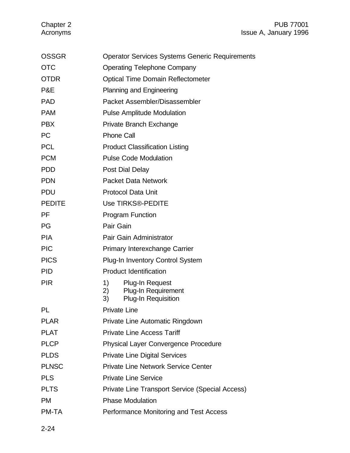| <b>OSSGR</b>  | <b>Operator Services Systems Generic Requirements</b>                                                |  |  |
|---------------|------------------------------------------------------------------------------------------------------|--|--|
| <b>OTC</b>    | <b>Operating Telephone Company</b>                                                                   |  |  |
| <b>OTDR</b>   | <b>Optical Time Domain Reflectometer</b>                                                             |  |  |
| P&E           | <b>Planning and Engineering</b>                                                                      |  |  |
| <b>PAD</b>    | Packet Assembler/Disassembler                                                                        |  |  |
| <b>PAM</b>    | <b>Pulse Amplitude Modulation</b>                                                                    |  |  |
| <b>PBX</b>    | Private Branch Exchange                                                                              |  |  |
| <b>PC</b>     | <b>Phone Call</b>                                                                                    |  |  |
| <b>PCL</b>    | <b>Product Classification Listing</b>                                                                |  |  |
| <b>PCM</b>    | <b>Pulse Code Modulation</b>                                                                         |  |  |
| <b>PDD</b>    | Post Dial Delay                                                                                      |  |  |
| <b>PDN</b>    | <b>Packet Data Network</b>                                                                           |  |  |
| <b>PDU</b>    | <b>Protocol Data Unit</b>                                                                            |  |  |
| <b>PEDITE</b> | Use TIRKS®-PEDITE                                                                                    |  |  |
| <b>PF</b>     | <b>Program Function</b>                                                                              |  |  |
| <b>PG</b>     | <b>Pair Gain</b>                                                                                     |  |  |
| <b>PIA</b>    | Pair Gain Administrator                                                                              |  |  |
| <b>PIC</b>    | Primary Interexchange Carrier                                                                        |  |  |
| <b>PICS</b>   | <b>Plug-In Inventory Control System</b>                                                              |  |  |
| <b>PID</b>    | <b>Product Identification</b>                                                                        |  |  |
| <b>PIR</b>    | 1)<br><b>Plug-In Request</b><br><b>Plug-In Requirement</b><br>2)<br>3)<br><b>Plug-In Requisition</b> |  |  |
| PL            | <b>Private Line</b>                                                                                  |  |  |
| <b>PLAR</b>   | Private Line Automatic Ringdown                                                                      |  |  |
| <b>PLAT</b>   | <b>Private Line Access Tariff</b>                                                                    |  |  |
| <b>PLCP</b>   | <b>Physical Layer Convergence Procedure</b>                                                          |  |  |
| <b>PLDS</b>   | <b>Private Line Digital Services</b>                                                                 |  |  |
| <b>PLNSC</b>  | <b>Private Line Network Service Center</b>                                                           |  |  |
| <b>PLS</b>    | <b>Private Line Service</b>                                                                          |  |  |
| <b>PLTS</b>   | Private Line Transport Service (Special Access)                                                      |  |  |
| <b>PM</b>     | <b>Phase Modulation</b>                                                                              |  |  |
| PM-TA         | Performance Monitoring and Test Access                                                               |  |  |
|               |                                                                                                      |  |  |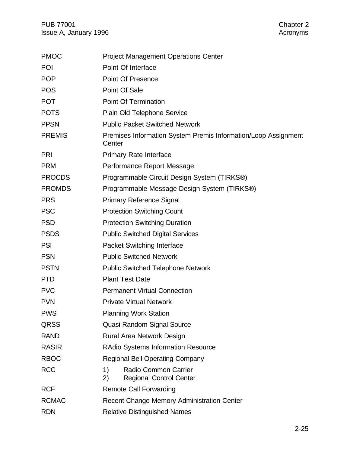| <b>PMOC</b>   | <b>Project Management Operations Center</b>                               |  |  |
|---------------|---------------------------------------------------------------------------|--|--|
| POI           | Point Of Interface                                                        |  |  |
| <b>POP</b>    | <b>Point Of Presence</b>                                                  |  |  |
| <b>POS</b>    | Point Of Sale                                                             |  |  |
| <b>POT</b>    | <b>Point Of Termination</b>                                               |  |  |
| <b>POTS</b>   | Plain Old Telephone Service                                               |  |  |
| <b>PPSN</b>   | <b>Public Packet Switched Network</b>                                     |  |  |
| <b>PREMIS</b> | Premises Information System Premis Information/Loop Assignment<br>Center  |  |  |
| <b>PRI</b>    | <b>Primary Rate Interface</b>                                             |  |  |
| <b>PRM</b>    | Performance Report Message                                                |  |  |
| <b>PROCDS</b> | Programmable Circuit Design System (TIRKS®)                               |  |  |
| <b>PROMDS</b> | Programmable Message Design System (TIRKS®)                               |  |  |
| <b>PRS</b>    | <b>Primary Reference Signal</b>                                           |  |  |
| <b>PSC</b>    | <b>Protection Switching Count</b>                                         |  |  |
| <b>PSD</b>    | <b>Protection Switching Duration</b>                                      |  |  |
| <b>PSDS</b>   | <b>Public Switched Digital Services</b>                                   |  |  |
| <b>PSI</b>    | <b>Packet Switching Interface</b>                                         |  |  |
| <b>PSN</b>    | <b>Public Switched Network</b>                                            |  |  |
| <b>PSTN</b>   | <b>Public Switched Telephone Network</b>                                  |  |  |
| <b>PTD</b>    | <b>Plant Test Date</b>                                                    |  |  |
| <b>PVC</b>    | <b>Permanent Virtual Connection</b>                                       |  |  |
| <b>PVN</b>    | <b>Private Virtual Network</b>                                            |  |  |
| <b>PWS</b>    | <b>Planning Work Station</b>                                              |  |  |
| <b>QRSS</b>   | Quasi Random Signal Source                                                |  |  |
| <b>RAND</b>   | Rural Area Network Design                                                 |  |  |
| <b>RASIR</b>  | <b>RAdio Systems Information Resource</b>                                 |  |  |
| <b>RBOC</b>   | <b>Regional Bell Operating Company</b>                                    |  |  |
| <b>RCC</b>    | 1)<br><b>Radio Common Carrier</b><br>2)<br><b>Regional Control Center</b> |  |  |
| <b>RCF</b>    | <b>Remote Call Forwarding</b>                                             |  |  |
| <b>RCMAC</b>  | <b>Recent Change Memory Administration Center</b>                         |  |  |
| <b>RDN</b>    | <b>Relative Distinguished Names</b>                                       |  |  |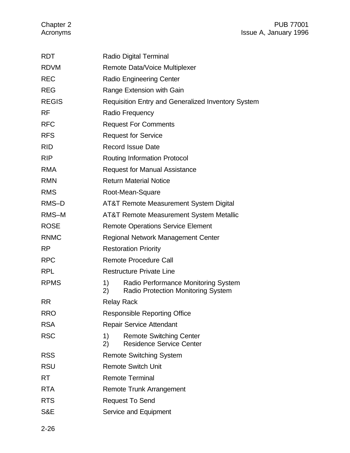| <b>RDT</b>   |                          | Radio Digital Terminal                                                           |
|--------------|--------------------------|----------------------------------------------------------------------------------|
| <b>RDVM</b>  |                          | Remote Data/Voice Multiplexer                                                    |
| <b>REC</b>   |                          | <b>Radio Engineering Center</b>                                                  |
| <b>REG</b>   |                          | Range Extension with Gain                                                        |
| <b>REGIS</b> |                          | Requisition Entry and Generalized Inventory System                               |
| <b>RF</b>    |                          | Radio Frequency                                                                  |
| <b>RFC</b>   |                          | <b>Request For Comments</b>                                                      |
| <b>RFS</b>   |                          | <b>Request for Service</b>                                                       |
| <b>RID</b>   |                          | <b>Record Issue Date</b>                                                         |
| <b>RIP</b>   |                          | <b>Routing Information Protocol</b>                                              |
| <b>RMA</b>   |                          | <b>Request for Manual Assistance</b>                                             |
| <b>RMN</b>   |                          | <b>Return Material Notice</b>                                                    |
| <b>RMS</b>   |                          | Root-Mean-Square                                                                 |
| RMS-D        |                          | <b>AT&amp;T Remote Measurement System Digital</b>                                |
| RMS-M        |                          | <b>AT&amp;T Remote Measurement System Metallic</b>                               |
| <b>ROSE</b>  |                          | <b>Remote Operations Service Element</b>                                         |
| <b>RNMC</b>  |                          | Regional Network Management Center                                               |
| <b>RP</b>    |                          | <b>Restoration Priority</b>                                                      |
| <b>RPC</b>   |                          | <b>Remote Procedure Call</b>                                                     |
| <b>RPL</b>   |                          | <b>Restructure Private Line</b>                                                  |
| <b>RPMS</b>  | 1)<br>2)                 | Radio Performance Monitoring System<br><b>Radio Protection Monitoring System</b> |
| <b>RR</b>    | <b>Relay Rack</b>        |                                                                                  |
| <b>RRO</b>   |                          | <b>Responsible Reporting Office</b>                                              |
| <b>RSA</b>   |                          | <b>Repair Service Attendant</b>                                                  |
| <b>RSC</b>   | 1)<br>2)                 | <b>Remote Switching Center</b><br><b>Residence Service Center</b>                |
| <b>RSS</b>   |                          | <b>Remote Switching System</b>                                                   |
| <b>RSU</b>   |                          | <b>Remote Switch Unit</b>                                                        |
| RT.          |                          | <b>Remote Terminal</b>                                                           |
| <b>RTA</b>   | Remote Trunk Arrangement |                                                                                  |
| <b>RTS</b>   |                          | <b>Request To Send</b>                                                           |
| S&E          |                          | Service and Equipment                                                            |
|              |                          |                                                                                  |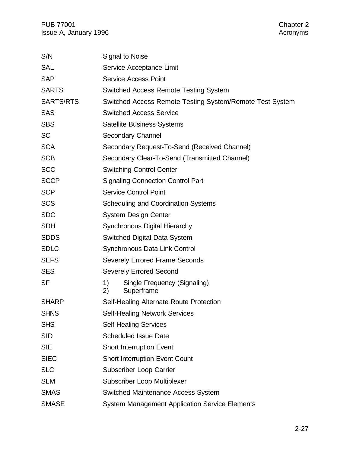| S/N              | Signal to Noise                                          |
|------------------|----------------------------------------------------------|
| <b>SAL</b>       | Service Acceptance Limit                                 |
| <b>SAP</b>       | <b>Service Access Point</b>                              |
| <b>SARTS</b>     | <b>Switched Access Remote Testing System</b>             |
| <b>SARTS/RTS</b> | Switched Access Remote Testing System/Remote Test System |
| <b>SAS</b>       | <b>Switched Access Service</b>                           |
| <b>SBS</b>       | <b>Satellite Business Systems</b>                        |
| <b>SC</b>        | <b>Secondary Channel</b>                                 |
| <b>SCA</b>       | Secondary Request-To-Send (Received Channel)             |
| <b>SCB</b>       | Secondary Clear-To-Send (Transmitted Channel)            |
| <b>SCC</b>       | <b>Switching Control Center</b>                          |
| <b>SCCP</b>      | <b>Signaling Connection Control Part</b>                 |
| <b>SCP</b>       | <b>Service Control Point</b>                             |
| <b>SCS</b>       | <b>Scheduling and Coordination Systems</b>               |
| <b>SDC</b>       | <b>System Design Center</b>                              |
| <b>SDH</b>       | <b>Synchronous Digital Hierarchy</b>                     |
| <b>SDDS</b>      | <b>Switched Digital Data System</b>                      |
| <b>SDLC</b>      | <b>Synchronous Data Link Control</b>                     |
| <b>SEFS</b>      | <b>Severely Errored Frame Seconds</b>                    |
| <b>SES</b>       | <b>Severely Errored Second</b>                           |
| <b>SF</b>        | 1)<br>Single Frequency (Signaling)<br>2)<br>Superframe   |
| <b>SHARP</b>     | Self-Healing Alternate Route Protection                  |
| <b>SHNS</b>      | <b>Self-Healing Network Services</b>                     |
| <b>SHS</b>       | <b>Self-Healing Services</b>                             |
| <b>SID</b>       | <b>Scheduled Issue Date</b>                              |
| <b>SIE</b>       | <b>Short Interruption Event</b>                          |
| <b>SIEC</b>      | <b>Short Interruption Event Count</b>                    |
| <b>SLC</b>       | <b>Subscriber Loop Carrier</b>                           |
| <b>SLM</b>       | Subscriber Loop Multiplexer                              |
| <b>SMAS</b>      | <b>Switched Maintenance Access System</b>                |
| <b>SMASE</b>     | <b>System Management Application Service Elements</b>    |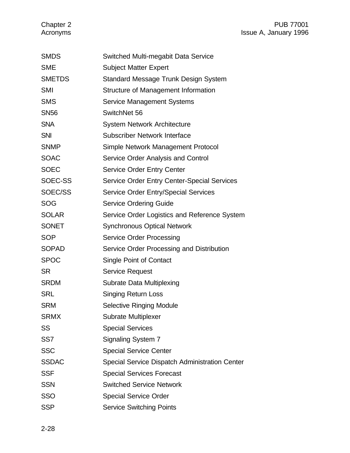| <b>SMDS</b>   | Switched Multi-megabit Data Service            |
|---------------|------------------------------------------------|
| <b>SME</b>    | <b>Subject Matter Expert</b>                   |
| <b>SMETDS</b> | Standard Message Trunk Design System           |
| <b>SMI</b>    | Structure of Management Information            |
| <b>SMS</b>    | <b>Service Management Systems</b>              |
| <b>SN56</b>   | SwitchNet 56                                   |
| <b>SNA</b>    | <b>System Network Architecture</b>             |
| <b>SNI</b>    | Subscriber Network Interface                   |
| <b>SNMP</b>   | Simple Network Management Protocol             |
| <b>SOAC</b>   | Service Order Analysis and Control             |
| <b>SOEC</b>   | <b>Service Order Entry Center</b>              |
| SOEC-SS       | Service Order Entry Center-Special Services    |
| SOEC/SS       | <b>Service Order Entry/Special Services</b>    |
| SOG           | <b>Service Ordering Guide</b>                  |
| <b>SOLAR</b>  | Service Order Logistics and Reference System   |
| <b>SONET</b>  | <b>Synchronous Optical Network</b>             |
| SOP           | <b>Service Order Processing</b>                |
| <b>SOPAD</b>  | Service Order Processing and Distribution      |
| <b>SPOC</b>   | <b>Single Point of Contact</b>                 |
| SR            | <b>Service Request</b>                         |
| <b>SRDM</b>   | Subrate Data Multiplexing                      |
| <b>SRL</b>    | <b>Singing Return Loss</b>                     |
| <b>SRM</b>    | <b>Selective Ringing Module</b>                |
| <b>SRMX</b>   | <b>Subrate Multiplexer</b>                     |
| SS            | <b>Special Services</b>                        |
| SS7           | <b>Signaling System 7</b>                      |
| <b>SSC</b>    | <b>Special Service Center</b>                  |
| <b>SSDAC</b>  | Special Service Dispatch Administration Center |
| <b>SSF</b>    | <b>Special Services Forecast</b>               |
| <b>SSN</b>    | <b>Switched Service Network</b>                |
| SSO           | <b>Special Service Order</b>                   |
| SSP           | <b>Service Switching Points</b>                |
|               |                                                |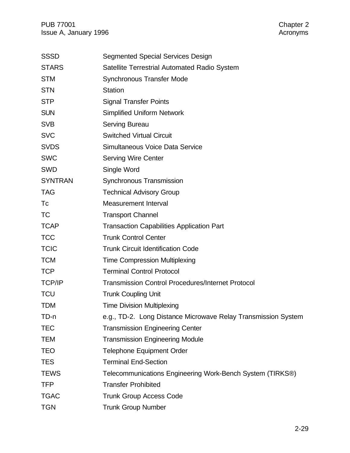PUB 77001 Chapter 2<br>
Issue A, January 1996 Chapter 2 Issue A, January 1996

| <b>SSSD</b>    | Segmented Special Services Design                             |
|----------------|---------------------------------------------------------------|
| <b>STARS</b>   | Satellite Terrestrial Automated Radio System                  |
| <b>STM</b>     | <b>Synchronous Transfer Mode</b>                              |
| <b>STN</b>     | <b>Station</b>                                                |
| <b>STP</b>     | <b>Signal Transfer Points</b>                                 |
| <b>SUN</b>     | <b>Simplified Uniform Network</b>                             |
| <b>SVB</b>     | <b>Serving Bureau</b>                                         |
| <b>SVC</b>     | <b>Switched Virtual Circuit</b>                               |
| <b>SVDS</b>    | Simultaneous Voice Data Service                               |
| <b>SWC</b>     | <b>Serving Wire Center</b>                                    |
| <b>SWD</b>     | Single Word                                                   |
| <b>SYNTRAN</b> | Synchronous Transmission                                      |
| <b>TAG</b>     | <b>Technical Advisory Group</b>                               |
| Tc             | <b>Measurement Interval</b>                                   |
| TC             | <b>Transport Channel</b>                                      |
| <b>TCAP</b>    | <b>Transaction Capabilities Application Part</b>              |
| <b>TCC</b>     | <b>Trunk Control Center</b>                                   |
| <b>TCIC</b>    | <b>Trunk Circuit Identification Code</b>                      |
| <b>TCM</b>     | <b>Time Compression Multiplexing</b>                          |
| <b>TCP</b>     | <b>Terminal Control Protocol</b>                              |
| <b>TCP/IP</b>  | <b>Transmission Control Procedures/Internet Protocol</b>      |
| <b>TCU</b>     | <b>Trunk Coupling Unit</b>                                    |
| TDM            | <b>Time Division Multiplexing</b>                             |
| TD-n           | e.g., TD-2. Long Distance Microwave Relay Transmission System |
| <b>TEC</b>     | <b>Transmission Engineering Center</b>                        |
| <b>TEM</b>     | <b>Transmission Engineering Module</b>                        |
| <b>TEO</b>     | <b>Telephone Equipment Order</b>                              |
| <b>TES</b>     | <b>Terminal End-Section</b>                                   |
| <b>TEWS</b>    | Telecommunications Engineering Work-Bench System (TIRKS®)     |
| <b>TFP</b>     | <b>Transfer Prohibited</b>                                    |
| <b>TGAC</b>    | <b>Trunk Group Access Code</b>                                |
| <b>TGN</b>     | <b>Trunk Group Number</b>                                     |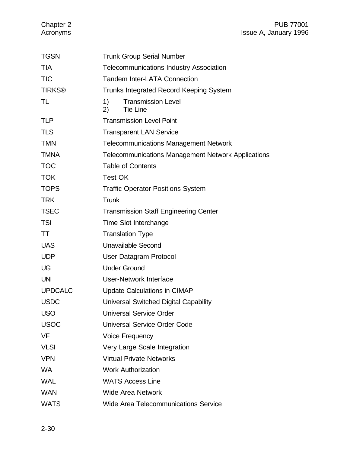# Chapter 2 PUB 77001 Issue A, January 1996

| <b>TGSN</b>    | <b>Trunk Group Serial Number</b>                            |  |  |
|----------------|-------------------------------------------------------------|--|--|
| <b>TIA</b>     | <b>Telecommunications Industry Association</b>              |  |  |
| <b>TIC</b>     | <b>Tandem Inter-LATA Connection</b>                         |  |  |
| <b>TIRKS®</b>  | <b>Trunks Integrated Record Keeping System</b>              |  |  |
| TL             | <b>Transmission Level</b><br>1)<br>Tie Line<br>$\mathbf{2}$ |  |  |
| <b>TLP</b>     | <b>Transmission Level Point</b>                             |  |  |
| <b>TLS</b>     | <b>Transparent LAN Service</b>                              |  |  |
| <b>TMN</b>     | <b>Telecommunications Management Network</b>                |  |  |
| <b>TMNA</b>    | <b>Telecommunications Management Network Applications</b>   |  |  |
| <b>TOC</b>     | <b>Table of Contents</b>                                    |  |  |
| <b>TOK</b>     | <b>Test OK</b>                                              |  |  |
| <b>TOPS</b>    | <b>Traffic Operator Positions System</b>                    |  |  |
| <b>TRK</b>     | Trunk                                                       |  |  |
| <b>TSEC</b>    | <b>Transmission Staff Engineering Center</b>                |  |  |
| <b>TSI</b>     | Time Slot Interchange                                       |  |  |
| TT             | <b>Translation Type</b>                                     |  |  |
| <b>UAS</b>     | <b>Unavailable Second</b>                                   |  |  |
| <b>UDP</b>     | <b>User Datagram Protocol</b>                               |  |  |
| <b>UG</b>      | <b>Under Ground</b>                                         |  |  |
| <b>UNI</b>     | User-Network Interface                                      |  |  |
| <b>UPDCALC</b> | <b>Update Calculations in CIMAP</b>                         |  |  |
| <b>USDC</b>    | Universal Switched Digital Capability                       |  |  |
| <b>USO</b>     | <b>Universal Service Order</b>                              |  |  |
| <b>USOC</b>    | <b>Universal Service Order Code</b>                         |  |  |
| <b>VF</b>      | <b>Voice Frequency</b>                                      |  |  |
| <b>VLSI</b>    | Very Large Scale Integration                                |  |  |
| <b>VPN</b>     | <b>Virtual Private Networks</b>                             |  |  |
| <b>WA</b>      | <b>Work Authorization</b>                                   |  |  |
| <b>WAL</b>     | <b>WATS Access Line</b>                                     |  |  |
| <b>WAN</b>     | <b>Wide Area Network</b>                                    |  |  |
| <b>WATS</b>    | Wide Area Telecommunications Service                        |  |  |
|                |                                                             |  |  |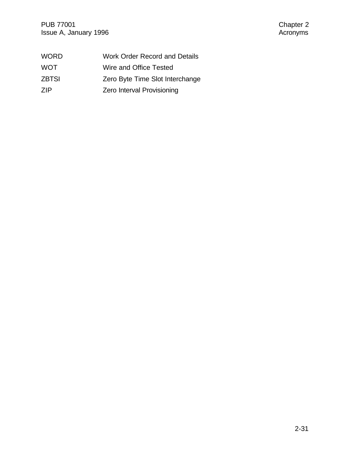| <b>WORD</b>  | <b>Work Order Record and Details</b> |
|--------------|--------------------------------------|
| <b>WOT</b>   | Wire and Office Tested               |
| <b>ZBTSI</b> | Zero Byte Time Slot Interchange      |
| 7IP          | <b>Zero Interval Provisioning</b>    |
|              |                                      |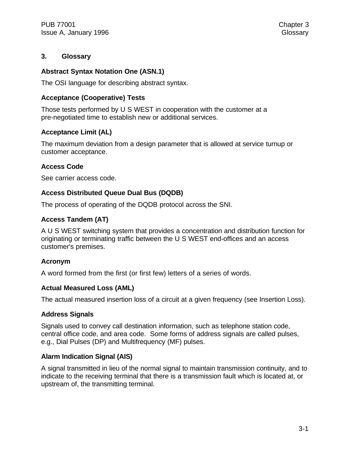### **3. Glossary**

### **Abstract Syntax Notation One (ASN.1)**

The OSI language for describing abstract syntax.

## **Acceptance (Cooperative) Tests**

Those tests performed by U S WEST in cooperation with the customer at a pre-negotiated time to establish new or additional services.

### **Acceptance Limit (AL)**

The maximum deviation from a design parameter that is allowed at service turnup or customer acceptance.

## **Access Code**

See carrier access code.

### **Access Distributed Queue Dual Bus (DQDB)**

The process of operating of the DQDB protocol across the SNI.

## **Access Tandem (AT)**

A U S WEST switching system that provides a concentration and distribution function for originating or terminating traffic between the U S WEST end-offices and an access customer's premises.

#### **Acronym**

A word formed from the first (or first few) letters of a series of words.

#### **Actual Measured Loss (AML)**

The actual measured insertion loss of a circuit at a given frequency (see Insertion Loss).

## **Address Signals**

Signals used to convey call destination information, such as telephone station code, central office code, and area code. Some forms of address signals are called pulses, e.g., Dial Pulses (DP) and Multifrequency (MF) pulses.

## **Alarm Indication Signal (AIS)**

A signal transmitted in lieu of the normal signal to maintain transmission continuity, and to indicate to the receiving terminal that there is a transmission fault which is located at, or upstream of, the transmitting terminal.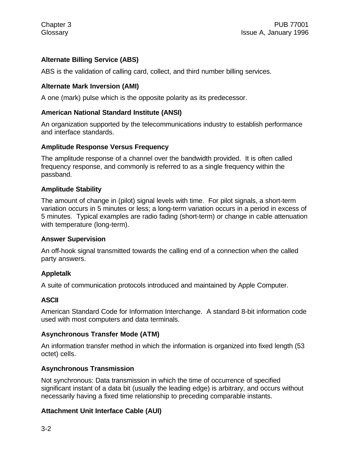# **Alternate Billing Service (ABS)**

ABS is the validation of calling card, collect, and third number billing services.

## **Alternate Mark Inversion (AMI)**

A one (mark) pulse which is the opposite polarity as its predecessor.

### **American National Standard Institute (ANSI)**

An organization supported by the telecommunications industry to establish performance and interface standards.

### **Amplitude Response Versus Frequency**

The amplitude response of a channel over the bandwidth provided. It is often called frequency response, and commonly is referred to as a single frequency within the passband.

### **Amplitude Stability**

The amount of change in (pilot) signal levels with time. For pilot signals, a short-term variation occurs in 5 minutes or less; a long-term variation occurs in a period in excess of 5 minutes. Typical examples are radio fading (short-term) or change in cable attenuation with temperature (long-term).

#### **Answer Supervision**

An off-hook signal transmitted towards the calling end of a connection when the called party answers.

## **Appletalk**

A suite of communication protocols introduced and maintained by Apple Computer.

## **ASCII**

American Standard Code for Information Interchange. A standard 8-bit information code used with most computers and data terminals.

## **Asynchronous Transfer Mode (ATM)**

An information transfer method in which the information is organized into fixed length (53 octet) cells.

## **Asynchronous Transmission**

Not synchronous: Data transmission in which the time of occurrence of specified significant instant of a data bit (usually the leading edge) is arbitrary, and occurs without necessarily having a fixed time relationship to preceding comparable instants.

## **Attachment Unit Interface Cable (AUI)**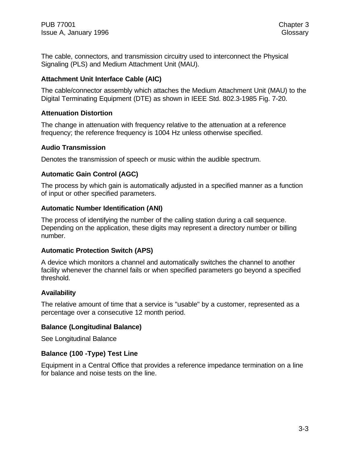The cable, connectors, and transmission circuitry used to interconnect the Physical Signaling (PLS) and Medium Attachment Unit (MAU).

## **Attachment Unit Interface Cable (AIC)**

The cable/connector assembly which attaches the Medium Attachment Unit (MAU) to the Digital Terminating Equipment (DTE) as shown in IEEE Std. 802.3-1985 Fig. 7-20.

### **Attenuation Distortion**

The change in attenuation with frequency relative to the attenuation at a reference frequency; the reference frequency is 1004 Hz unless otherwise specified.

### **Audio Transmission**

Denotes the transmission of speech or music within the audible spectrum.

## **Automatic Gain Control (AGC)**

The process by which gain is automatically adjusted in a specified manner as a function of input or other specified parameters.

#### **Automatic Number Identification (ANI)**

The process of identifying the number of the calling station during a call sequence. Depending on the application, these digits may represent a directory number or billing number.

#### **Automatic Protection Switch (APS)**

A device which monitors a channel and automatically switches the channel to another facility whenever the channel fails or when specified parameters go beyond a specified threshold.

#### **Availability**

The relative amount of time that a service is "usable" by a customer, represented as a percentage over a consecutive 12 month period.

#### **Balance (Longitudinal Balance)**

See Longitudinal Balance

## **Balance (100 -Type) Test Line**

Equipment in a Central Office that provides a reference impedance termination on a line for balance and noise tests on the line.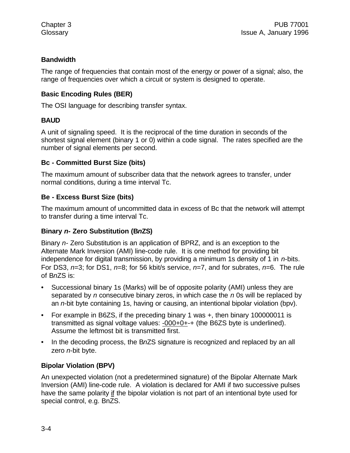## **Bandwidth**

The range of frequencies that contain most of the energy or power of a signal; also, the range of frequencies over which a circuit or system is designed to operate.

## **Basic Encoding Rules (BER)**

The OSI language for describing transfer syntax.

#### **BAUD**

A unit of signaling speed. It is the reciprocal of the time duration in seconds of the shortest signal element (binary 1 or 0) within a code signal. The rates specified are the number of signal elements per second.

### **Bc - Committed Burst Size (bits)**

The maximum amount of subscriber data that the network agrees to transfer, under normal conditions, during a time interval Tc.

### **Be - Excess Burst Size (bits)**

The maximum amount of uncommitted data in excess of Bc that the network will attempt to transfer during a time interval Tc.

## **Binary** *n-* **Zero Substitution (B***n***ZS)**

Binary *n-* Zero Substitution is an application of BPRZ, and is an exception to the Alternate Mark Inversion (AMI) line-code rule. It is one method for providing bit independence for digital transmission, by providing a minimum 1s density of 1 in *n*-bits. For DS3, *n*=3; for DS1, *n*=8; for 56 kbit/s service, *n*=7, and for subrates, *n*=6. The rule of B*n*ZS is:

- Successional binary 1s (Marks) will be of opposite polarity (AMI) unless they are separated by *n* consecutive binary zeros, in which case the *n* 0s will be replaced by an *n*-bit byte containing 1s, having or causing, an intentional bipolar violation (bpv).
- For example in B6ZS, if the preceding binary 1 was +, then binary 100000011 is transmitted as signal voltage values: -000+0+-+ (the B6ZS byte is underlined). Assume the leftmost bit is transmitted first.
- In the decoding process, the B*n*ZS signature is recognized and replaced by an all zero *n*-bit byte.

## **Bipolar Violation (BPV)**

An unexpected violation (not a predetermined signature) of the Bipolar Alternate Mark Inversion (AMI) line-code rule. A violation is declared for AMI if two successive pulses have the same polarity if the bipolar violation is not part of an intentional byte used for special control, e.g. BnZS.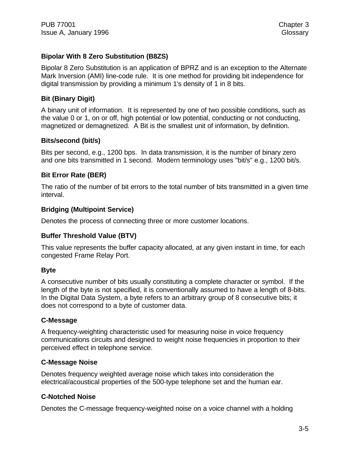### **Bipolar With 8 Zero Substitution (B8ZS)**

Bipolar 8 Zero Substitution is an application of BPRZ and is an exception to the Alternate Mark Inversion (AMI) line-code rule. It is one method for providing bit independence for digital transmission by providing a minimum 1's density of 1 in 8 bits.

#### **Bit (Binary Digit)**

A binary unit of information. It is represented by one of two possible conditions, such as the value 0 or 1, on or off, high potential or low potential, conducting or not conducting, magnetized or demagnetized. A Bit is the smallest unit of information, by definition.

### **Bits/second (bit/s)**

Bits per second, e.g., 1200 bps. In data transmission, it is the number of binary zero and one bits transmitted in 1 second. Modern terminology uses "bit/s" e.g., 1200 bit/s.

### **Bit Error Rate (BER)**

The ratio of the number of bit errors to the total number of bits transmitted in a given time interval.

### **Bridging (Multipoint Service)**

Denotes the process of connecting three or more customer locations.

## **Buffer Threshold Value (BTV)**

This value represents the buffer capacity allocated, at any given instant in time, for each congested Frame Relay Port.

#### **Byte**

A consecutive number of bits usually constituting a complete character or symbol. If the length of the byte is not specified, it is conventionally assumed to have a length of 8-bits. In the Digital Data System, a byte refers to an arbitrary group of 8 consecutive bits; it does not correspond to a byte of customer data.

#### **C-Message**

A frequency-weighting characteristic used for measuring noise in voice frequency communications circuits and designed to weight noise frequencies in proportion to their perceived effect in telephone service.

#### **C-Message Noise**

Denotes frequency weighted average noise which takes into consideration the electrical/acoustical properties of the 500-type telephone set and the human ear.

#### **C-Notched Noise**

Denotes the C-message frequency-weighted noise on a voice channel with a holding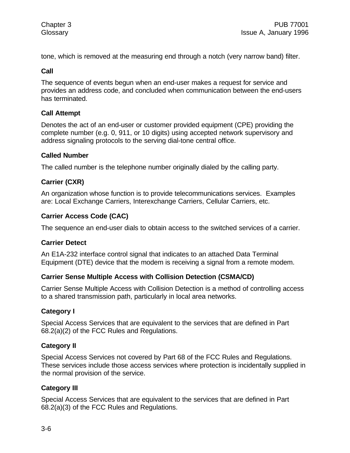tone, which is removed at the measuring end through a notch (very narrow band) filter.

#### **Call**

The sequence of events begun when an end-user makes a request for service and provides an address code, and concluded when communication between the end-users has terminated.

#### **Call Attempt**

Denotes the act of an end-user or customer provided equipment (CPE) providing the complete number (e.g. 0, 911, or 10 digits) using accepted network supervisory and address signaling protocols to the serving dial-tone central office.

#### **Called Number**

The called number is the telephone number originally dialed by the calling party.

### **Carrier (CXR)**

An organization whose function is to provide telecommunications services. Examples are: Local Exchange Carriers, Interexchange Carriers, Cellular Carriers, etc.

### **Carrier Access Code (CAC)**

The sequence an end-user dials to obtain access to the switched services of a carrier.

#### **Carrier Detect**

An E1A-232 interface control signal that indicates to an attached Data Terminal Equipment (DTE) device that the modem is receiving a signal from a remote modem.

#### **Carrier Sense Multiple Access with Collision Detection (CSMA/CD)**

Carrier Sense Multiple Access with Collision Detection is a method of controlling access to a shared transmission path, particularly in local area networks.

#### **Category I**

Special Access Services that are equivalent to the services that are defined in Part 68.2(a)(2) of the FCC Rules and Regulations.

#### **Category II**

Special Access Services not covered by Part 68 of the FCC Rules and Regulations. These services include those access services where protection is incidentally supplied in the normal provision of the service.

#### **Category III**

Special Access Services that are equivalent to the services that are defined in Part 68.2(a)(3) of the FCC Rules and Regulations.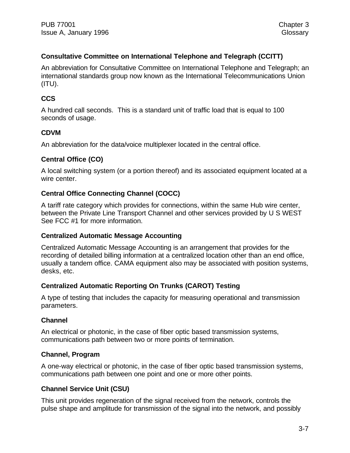## **Consultative Committee on International Telephone and Telegraph (CCITT)**

An abbreviation for Consultative Committee on International Telephone and Telegraph; an international standards group now known as the International Telecommunications Union (ITU).

## **CCS**

A hundred call seconds. This is a standard unit of traffic load that is equal to 100 seconds of usage.

### **CDVM**

An abbreviation for the data/voice multiplexer located in the central office.

### **Central Office (CO)**

A local switching system (or a portion thereof) and its associated equipment located at a wire center.

### **Central Office Connecting Channel (COCC)**

A tariff rate category which provides for connections, within the same Hub wire center, between the Private Line Transport Channel and other services provided by U S WEST See FCC #1 for more information.

#### **Centralized Automatic Message Accounting**

Centralized Automatic Message Accounting is an arrangement that provides for the recording of detailed billing information at a centralized location other than an end office, usually a tandem office. CAMA equipment also may be associated with position systems, desks, etc.

## **Centralized Automatic Reporting On Trunks (CAROT) Testing**

A type of testing that includes the capacity for measuring operational and transmission parameters.

#### **Channel**

An electrical or photonic, in the case of fiber optic based transmission systems, communications path between two or more points of termination.

#### **Channel, Program**

A one-way electrical or photonic, in the case of fiber optic based transmission systems, communications path between one point and one or more other points.

## **Channel Service Unit (CSU)**

This unit provides regeneration of the signal received from the network, controls the pulse shape and amplitude for transmission of the signal into the network, and possibly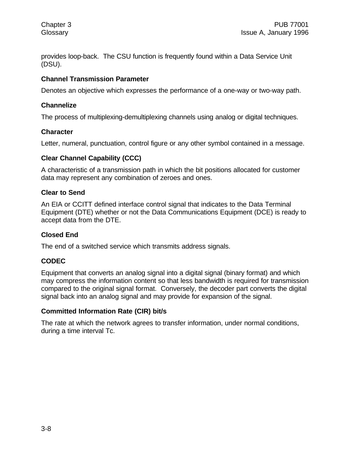provides loop-back. The CSU function is frequently found within a Data Service Unit (DSU).

### **Channel Transmission Parameter**

Denotes an objective which expresses the performance of a one-way or two-way path.

### **Channelize**

The process of multiplexing-demultiplexing channels using analog or digital techniques.

### **Character**

Letter, numeral, punctuation, control figure or any other symbol contained in a message.

## **Clear Channel Capability (CCC)**

A characteristic of a transmission path in which the bit positions allocated for customer data may represent any combination of zeroes and ones.

### **Clear to Send**

An EIA or CCITT defined interface control signal that indicates to the Data Terminal Equipment (DTE) whether or not the Data Communications Equipment (DCE) is ready to accept data from the DTE.

## **Closed End**

The end of a switched service which transmits address signals.

## **CODEC**

Equipment that converts an analog signal into a digital signal (binary format) and which may compress the information content so that less bandwidth is required for transmission compared to the original signal format. Conversely, the decoder part converts the digital signal back into an analog signal and may provide for expansion of the signal.

## **Committed Information Rate (CIR) bit/s**

The rate at which the network agrees to transfer information, under normal conditions, during a time interval Tc.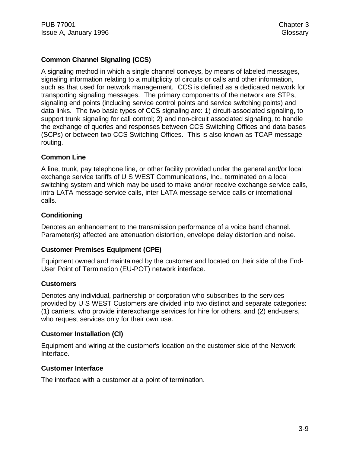# **Common Channel Signaling (CCS)**

A signaling method in which a single channel conveys, by means of labeled messages, signaling information relating to a multiplicity of circuits or calls and other information, such as that used for network management. CCS is defined as a dedicated network for transporting signaling messages. The primary components of the network are STPs, signaling end points (including service control points and service switching points) and data links. The two basic types of CCS signaling are: 1) circuit-associated signaling, to support trunk signaling for call control; 2) and non-circuit associated signaling, to handle the exchange of queries and responses between CCS Switching Offices and data bases (SCPs) or between two CCS Switching Offices. This is also known as TCAP message routing.

## **Common Line**

A line, trunk, pay telephone line, or other facility provided under the general and/or local exchange service tariffs of U S WEST Communications, Inc., terminated on a local switching system and which may be used to make and/or receive exchange service calls, intra-LATA message service calls, inter-LATA message service calls or international calls.

### **Conditioning**

Denotes an enhancement to the transmission performance of a voice band channel. Parameter(s) affected are attenuation distortion, envelope delay distortion and noise.

## **Customer Premises Equipment (CPE)**

Equipment owned and maintained by the customer and located on their side of the End-User Point of Termination (EU-POT) network interface.

#### **Customers**

Denotes any individual, partnership or corporation who subscribes to the services provided by U S WEST Customers are divided into two distinct and separate categories: (1) carriers, who provide interexchange services for hire for others, and (2) end-users, who request services only for their own use.

## **Customer Installation (CI)**

Equipment and wiring at the customer's location on the customer side of the Network Interface.

#### **Customer Interface**

The interface with a customer at a point of termination.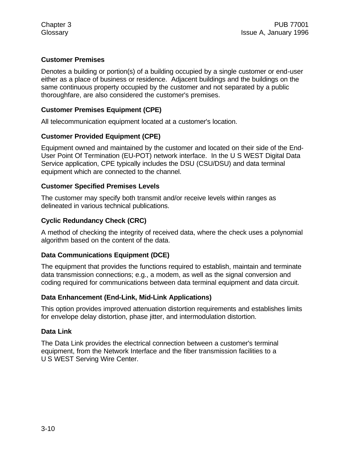## **Customer Premises**

Denotes a building or portion(s) of a building occupied by a single customer or end-user either as a place of business or residence. Adjacent buildings and the buildings on the same continuous property occupied by the customer and not separated by a public thoroughfare, are also considered the customer's premises.

## **Customer Premises Equipment (CPE)**

All telecommunication equipment located at a customer's location.

### **Customer Provided Equipment (CPE)**

Equipment owned and maintained by the customer and located on their side of the End-User Point Of Termination (EU-POT) network interface. In the U S WEST Digital Data Service application, CPE typically includes the DSU (CSU/DSU) and data terminal equipment which are connected to the channel.

#### **Customer Specified Premises Levels**

The customer may specify both transmit and/or receive levels within ranges as delineated in various technical publications.

### **Cyclic Redundancy Check (CRC)**

A method of checking the integrity of received data, where the check uses a polynomial algorithm based on the content of the data.

#### **Data Communications Equipment (DCE)**

The equipment that provides the functions required to establish, maintain and terminate data transmission connections; e.g., a modem, as well as the signal conversion and coding required for communications between data terminal equipment and data circuit.

#### **Data Enhancement (End-Link, Mid-Link Applications)**

This option provides improved attenuation distortion requirements and establishes limits for envelope delay distortion, phase jitter, and intermodulation distortion.

#### **Data Link**

The Data Link provides the electrical connection between a customer's terminal equipment, from the Network Interface and the fiber transmission facilities to a U S WEST Serving Wire Center.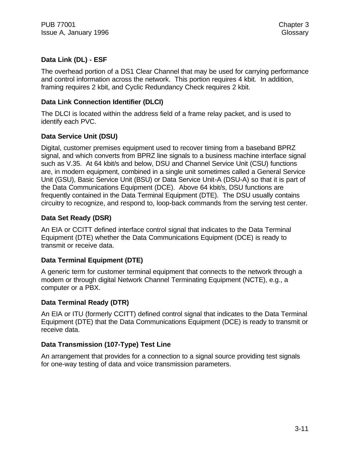## **Data Link (DL) - ESF**

The overhead portion of a DS1 Clear Channel that may be used for carrying performance and control information across the network. This portion requires 4 kbit. In addition, framing requires 2 kbit, and Cyclic Redundancy Check requires 2 kbit.

## **Data Link Connection Identifier (DLCI)**

The DLCI is located within the address field of a frame relay packet, and is used to identify each PVC.

## **Data Service Unit (DSU)**

Digital, customer premises equipment used to recover timing from a baseband BPRZ signal, and which converts from BPRZ line signals to a business machine interface signal such as V.35. At 64 kbit/s and below, DSU and Channel Service Unit (CSU) functions are, in modern equipment, combined in a single unit sometimes called a General Service Unit (GSU), Basic Service Unit (BSU) or Data Service Unit-A (DSU-A) so that it is part of the Data Communications Equipment (DCE). Above 64 kbit/s, DSU functions are frequently contained in the Data Terminal Equipment (DTE). The DSU usually contains circuitry to recognize, and respond to, loop-back commands from the serving test center.

## **Data Set Ready (DSR)**

An EIA or CCITT defined interface control signal that indicates to the Data Terminal Equipment (DTE) whether the Data Communications Equipment (DCE) is ready to transmit or receive data.

## **Data Terminal Equipment (DTE)**

A generic term for customer terminal equipment that connects to the network through a modem or through digital Network Channel Terminating Equipment (NCTE), e.g., a computer or a PBX.

## **Data Terminal Ready (DTR)**

An EIA or ITU (formerly CCITT) defined control signal that indicates to the Data Terminal Equipment (DTE) that the Data Communications Equipment (DCE) is ready to transmit or receive data.

## **Data Transmission (107-Type) Test Line**

An arrangement that provides for a connection to a signal source providing test signals for one-way testing of data and voice transmission parameters.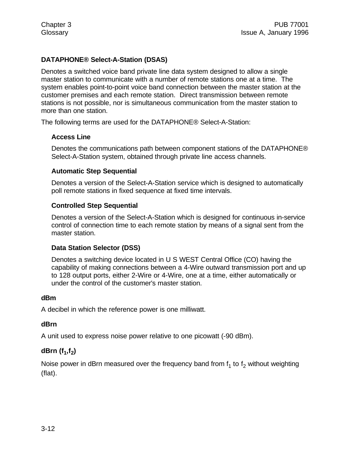## **DATAPHONE® Select-A-Station (DSAS)**

Denotes a switched voice band private line data system designed to allow a single master station to communicate with a number of remote stations one at a time. The system enables point-to-point voice band connection between the master station at the customer premises and each remote station. Direct transmission between remote stations is not possible, nor is simultaneous communication from the master station to more than one station.

The following terms are used for the DATAPHONE® Select-A-Station:

#### **Access Line**

Denotes the communications path between component stations of the DATAPHONE® Select-A-Station system, obtained through private line access channels.

#### **Automatic Step Sequential**

Denotes a version of the Select-A-Station service which is designed to automatically poll remote stations in fixed sequence at fixed time intervals.

#### **Controlled Step Sequential**

Denotes a version of the Select-A-Station which is designed for continuous in-service control of connection time to each remote station by means of a signal sent from the master station.

#### **Data Station Selector (DSS)**

Denotes a switching device located in U S WEST Central Office (CO) having the capability of making connections between a 4-Wire outward transmission port and up to 128 output ports, either 2-Wire or 4-Wire, one at a time, either automatically or under the control of the customer's master station.

#### **dBm**

A decibel in which the reference power is one milliwatt.

#### **dBrn**

A unit used to express noise power relative to one picowatt (-90 dBm).

# **dBrn (f<sup>1</sup> ,f2 )**

Noise power in dBrn measured over the frequency band from  $\mathsf{f}_1$  to  $\mathsf{f}_2$  without weighting (flat).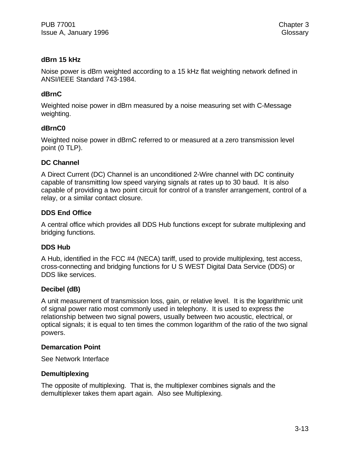#### **dBrn 15 kHz**

Noise power is dBrn weighted according to a 15 kHz flat weighting network defined in ANSI/IEEE Standard 743-1984.

#### **dBrnC**

Weighted noise power in dBrn measured by a noise measuring set with C-Message weighting.

#### **dBrnC0**

Weighted noise power in dBrnC referred to or measured at a zero transmission level point (0 TLP).

#### **DC Channel**

A Direct Current (DC) Channel is an unconditioned 2-Wire channel with DC continuity capable of transmitting low speed varying signals at rates up to 30 baud. It is also capable of providing a two point circuit for control of a transfer arrangement, control of a relay, or a similar contact closure.

#### **DDS End Office**

A central office which provides all DDS Hub functions except for subrate multiplexing and bridging functions.

#### **DDS Hub**

A Hub, identified in the FCC #4 (NECA) tariff, used to provide multiplexing, test access, cross-connecting and bridging functions for U S WEST Digital Data Service (DDS) or DDS like services.

#### **Decibel (dB)**

A unit measurement of transmission loss, gain, or relative level. It is the logarithmic unit of signal power ratio most commonly used in telephony. It is used to express the relationship between two signal powers, usually between two acoustic, electrical, or optical signals; it is equal to ten times the common logarithm of the ratio of the two signal powers.

#### **Demarcation Point**

See Network Interface

#### **Demultiplexing**

The opposite of multiplexing. That is, the multiplexer combines signals and the demultiplexer takes them apart again. Also see Multiplexing.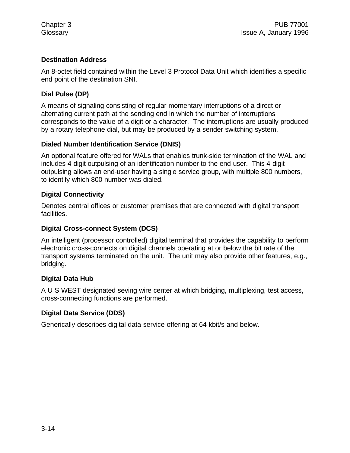### **Destination Address**

An 8-octet field contained within the Level 3 Protocol Data Unit which identifies a specific end point of the destination SNI.

## **Dial Pulse (DP)**

A means of signaling consisting of regular momentary interruptions of a direct or alternating current path at the sending end in which the number of interruptions corresponds to the value of a digit or a character. The interruptions are usually produced by a rotary telephone dial, but may be produced by a sender switching system.

### **Dialed Number Identification Service (DNIS)**

An optional feature offered for WALs that enables trunk-side termination of the WAL and includes 4-digit outpulsing of an identification number to the end-user. This 4-digit outpulsing allows an end-user having a single service group, with multiple 800 numbers, to identify which 800 number was dialed.

### **Digital Connectivity**

Denotes central offices or customer premises that are connected with digital transport facilities.

## **Digital Cross-connect System (DCS)**

An intelligent (processor controlled) digital terminal that provides the capability to perform electronic cross-connects on digital channels operating at or below the bit rate of the transport systems terminated on the unit. The unit may also provide other features, e.g., bridging.

## **Digital Data Hub**

A U S WEST designated seving wire center at which bridging, multiplexing, test access, cross-connecting functions are performed.

## **Digital Data Service (DDS)**

Generically describes digital data service offering at 64 kbit/s and below.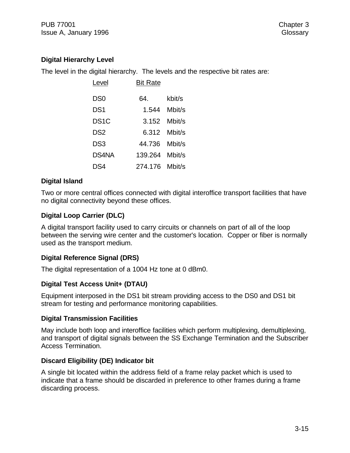## **Digital Hierarchy Level**

The level in the digital hierarchy. The levels and the respective bit rates are:

| Level             | <b>BIT Rate</b> |        |
|-------------------|-----------------|--------|
| DS <sub>0</sub>   | 64.             | kbit/s |
| DS <sub>1</sub>   | 1.544           | Mbit/s |
| DS <sub>1</sub> C | 3.152           | Mbit/s |
| DS <sub>2</sub>   | 6.312           | Mbit/s |
| DS <sub>3</sub>   | 44.736          | Mbit/s |
| DS4NA             | 139.264         | Mbit/s |
| DS4               | 274.176         | Mbit/s |

Level Bit Rate

### **Digital Island**

Two or more central offices connected with digital interoffice transport facilities that have no digital connectivity beyond these offices.

### **Digital Loop Carrier (DLC)**

A digital transport facility used to carry circuits or channels on part of all of the loop between the serving wire center and the customer's location. Copper or fiber is normally used as the transport medium.

## **Digital Reference Signal (DRS)**

The digital representation of a 1004 Hz tone at 0 dBm0.

## **Digital Test Access Unit+ (DTAU)**

Equipment interposed in the DS1 bit stream providing access to the DS0 and DS1 bit stream for testing and performance monitoring capabilities.

#### **Digital Transmission Facilities**

May include both loop and interoffice facilities which perform multiplexing, demultiplexing, and transport of digital signals between the SS Exchange Termination and the Subscriber Access Termination.

#### **Discard Eligibility (DE) Indicator bit**

A single bit located within the address field of a frame relay packet which is used to indicate that a frame should be discarded in preference to other frames during a frame discarding process.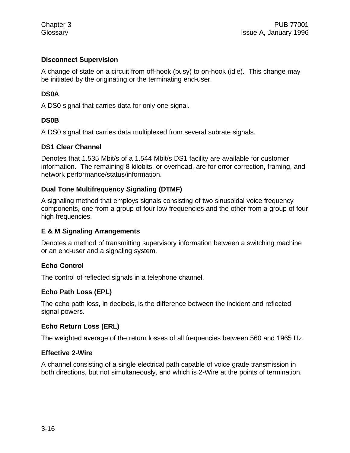### **Disconnect Supervision**

A change of state on a circuit from off-hook (busy) to on-hook (idle). This change may be initiated by the originating or the terminating end-user.

### **DS0A**

A DS0 signal that carries data for only one signal.

### **DS0B**

A DS0 signal that carries data multiplexed from several subrate signals.

### **DS1 Clear Channel**

Denotes that 1.535 Mbit/s of a 1.544 Mbit/s DS1 facility are available for customer information. The remaining 8 kilobits, or overhead, are for error correction, framing, and network performance/status/information.

### **Dual Tone Multifrequency Signaling (DTMF)**

A signaling method that employs signals consisting of two sinusoidal voice frequency components, one from a group of four low frequencies and the other from a group of four high frequencies.

#### **E & M Signaling Arrangements**

Denotes a method of transmitting supervisory information between a switching machine or an end-user and a signaling system.

## **Echo Control**

The control of reflected signals in a telephone channel.

## **Echo Path Loss (EPL)**

The echo path loss, in decibels, is the difference between the incident and reflected signal powers.

#### **Echo Return Loss (ERL)**

The weighted average of the return losses of all frequencies between 560 and 1965 Hz.

#### **Effective 2-Wire**

A channel consisting of a single electrical path capable of voice grade transmission in both directions, but not simultaneously, and which is 2-Wire at the points of termination.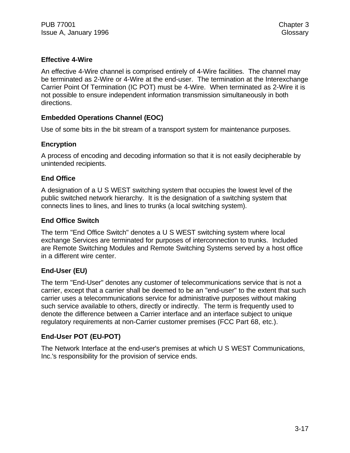## **Effective 4-Wire**

An effective 4-Wire channel is comprised entirely of 4-Wire facilities. The channel may be terminated as 2-Wire or 4-Wire at the end-user. The termination at the Interexchange Carrier Point Of Termination (IC POT) must be 4-Wire. When terminated as 2-Wire it is not possible to ensure independent information transmission simultaneously in both directions.

# **Embedded Operations Channel (EOC)**

Use of some bits in the bit stream of a transport system for maintenance purposes.

## **Encryption**

A process of encoding and decoding information so that it is not easily decipherable by unintended recipients.

# **End Office**

A designation of a U S WEST switching system that occupies the lowest level of the public switched network hierarchy. It is the designation of a switching system that connects lines to lines, and lines to trunks (a local switching system).

# **End Office Switch**

The term "End Office Switch" denotes a U S WEST switching system where local exchange Services are terminated for purposes of interconnection to trunks. Included are Remote Switching Modules and Remote Switching Systems served by a host office in a different wire center.

# **End-User (EU)**

The term "End-User" denotes any customer of telecommunications service that is not a carrier, except that a carrier shall be deemed to be an "end-user" to the extent that such carrier uses a telecommunications service for administrative purposes without making such service available to others, directly or indirectly. The term is frequently used to denote the difference between a Carrier interface and an interface subject to unique regulatory requirements at non-Carrier customer premises (FCC Part 68, etc.).

# **End-User POT (EU-POT)**

The Network Interface at the end-user's premises at which U S WEST Communications, Inc.'s responsibility for the provision of service ends.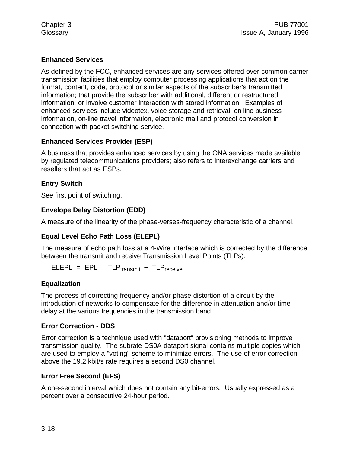## **Enhanced Services**

As defined by the FCC, enhanced services are any services offered over common carrier transmission facilities that employ computer processing applications that act on the format, content, code, protocol or similar aspects of the subscriber's transmitted information; that provide the subscriber with additional, different or restructured information; or involve customer interaction with stored information. Examples of enhanced services include videotex, voice storage and retrieval, on-line business information, on-line travel information, electronic mail and protocol conversion in connection with packet switching service.

### **Enhanced Services Provider (ESP)**

A business that provides enhanced services by using the ONA services made available by regulated telecommunications providers; also refers to interexchange carriers and resellers that act as ESPs.

### **Entry Switch**

See first point of switching.

## **Envelope Delay Distortion (EDD)**

A measure of the linearity of the phase-verses-frequency characteristic of a channel.

#### **Equal Level Echo Path Loss (ELEPL)**

The measure of echo path loss at a 4-Wire interface which is corrected by the difference between the transmit and receive Transmission Level Points (TLPs).

 $ELEPL = EPL - TLP_{transmit} + TLP_{receive}$ 

#### **Equalization**

The process of correcting frequency and/or phase distortion of a circuit by the introduction of networks to compensate for the difference in attenuation and/or time delay at the various frequencies in the transmission band.

#### **Error Correction - DDS**

Error correction is a technique used with "dataport" provisioning methods to improve transmission quality. The subrate DS0A dataport signal contains multiple copies which are used to employ a "voting" scheme to minimize errors. The use of error correction above the 19.2 kbit/s rate requires a second DS0 channel.

#### **Error Free Second (EFS)**

A one-second interval which does not contain any bit-errors. Usually expressed as a percent over a consecutive 24-hour period.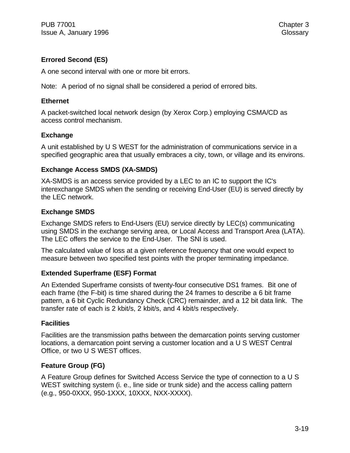# **Errored Second (ES)**

A one second interval with one or more bit errors.

Note: A period of no signal shall be considered a period of errored bits.

#### **Ethernet**

A packet-switched local network design (by Xerox Corp.) employing CSMA/CD as access control mechanism.

#### **Exchange**

A unit established by U S WEST for the administration of communications service in a specified geographic area that usually embraces a city, town, or village and its environs.

#### **Exchange Access SMDS (XA-SMDS)**

XA-SMDS is an access service provided by a LEC to an IC to support the IC's interexchange SMDS when the sending or receiving End-User (EU) is served directly by the LEC network.

#### **Exchange SMDS**

Exchange SMDS refers to End-Users (EU) service directly by LEC(s) communicating using SMDS in the exchange serving area, or Local Access and Transport Area (LATA). The LEC offers the service to the End-User. The SNI is used.

The calculated value of loss at a given reference frequency that one would expect to measure between two specified test points with the proper terminating impedance.

#### **Extended Superframe (ESF) Format**

An Extended Superframe consists of twenty-four consecutive DS1 frames. Bit one of each frame (the F-bit) is time shared during the 24 frames to describe a 6 bit frame pattern, a 6 bit Cyclic Redundancy Check (CRC) remainder, and a 12 bit data link. The transfer rate of each is 2 kbit/s, 2 kbit/s, and 4 kbit/s respectively.

#### **Facilities**

Facilities are the transmission paths between the demarcation points serving customer locations, a demarcation point serving a customer location and a U S WEST Central Office, or two U S WEST offices.

#### **Feature Group (FG)**

A Feature Group defines for Switched Access Service the type of connection to a U S WEST switching system (i. e., line side or trunk side) and the access calling pattern (e.g., 950-0XXX, 950-1XXX, 10XXX, NXX-XXXX).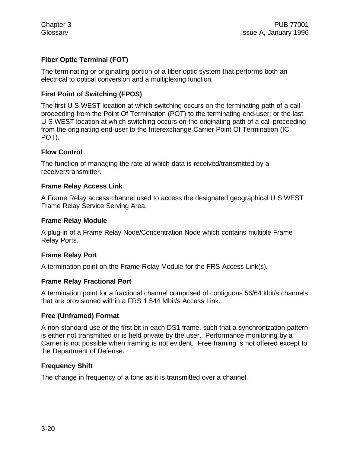# **Fiber Optic Terminal (FOT)**

The terminating or originating portion of a fiber optic system that performs both an electrical to optical conversion and a multiplexing function.

## **First Point of Switching (FPOS)**

The first U S WEST location at which switching occurs on the terminating path of a call proceeding from the Point Of Termination (POT) to the terminating end-user; or the last U S WEST location at which switching occurs on the originating path of a call proceeding from the originating end-user to the Interexchange Carrier Point Of Termination (IC POT).

#### **Flow Control**

The function of managing the rate at which data is received/transmitted by a receiver/transmitter.

#### **Frame Relay Access Link**

A Frame Relay access channel used to access the designated geographical U S WEST Frame Relay Service Serving Area.

#### **Frame Relay Module**

A plug-in of a Frame Relay Node/Concentration Node which contains multiple Frame Relay Ports.

#### **Frame Relay Port**

A termination point on the Frame Relay Module for the FRS Access Link(s).

#### **Frame Relay Fractional Port**

A termination point for a fractional channel comprised of contiguous 56/64 kbit/s channels that are provisioned within a FRS 1.544 Mbit/s Access Link.

#### **Free (Unframed) Format**

A non-standard use of the first bit in each DS1 frame, such that a synchronization pattern is either not transmitted or is held private by the user. Performance monitoring by a Carrier is not possible when framing is not evident. Free framing is not offered except to the Department of Defense.

#### **Frequency Shift**

The change in frequency of a tone as it is transmitted over a channel.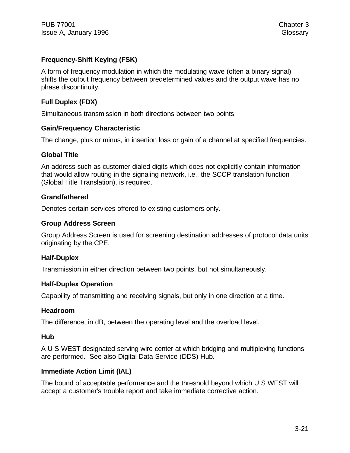## **Frequency-Shift Keying (FSK)**

A form of frequency modulation in which the modulating wave (often a binary signal) shifts the output frequency between predetermined values and the output wave has no phase discontinuity.

### **Full Duplex (FDX)**

Simultaneous transmission in both directions between two points.

#### **Gain/Frequency Characteristic**

The change, plus or minus, in insertion loss or gain of a channel at specified frequencies.

#### **Global Title**

An address such as customer dialed digits which does not explicitly contain information that would allow routing in the signaling network, i.e., the SCCP translation function (Global Title Translation), is required.

#### **Grandfathered**

Denotes certain services offered to existing customers only.

#### **Group Address Screen**

Group Address Screen is used for screening destination addresses of protocol data units originating by the CPE.

#### **Half-Duplex**

Transmission in either direction between two points, but not simultaneously.

#### **Half-Duplex Operation**

Capability of transmitting and receiving signals, but only in one direction at a time.

#### **Headroom**

The difference, in dB, between the operating level and the overload level.

#### **Hub**

A U S WEST designated serving wire center at which bridging and multiplexing functions are performed. See also Digital Data Service (DDS) Hub.

#### **Immediate Action Limit (IAL)**

The bound of acceptable performance and the threshold beyond which U S WEST will accept a customer's trouble report and take immediate corrective action.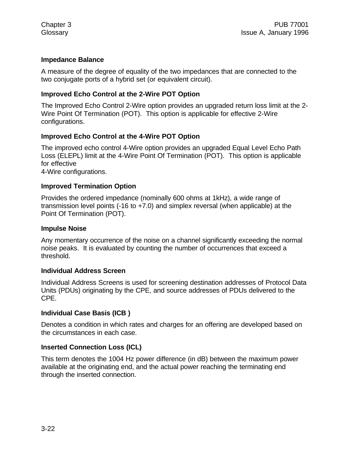### **Impedance Balance**

A measure of the degree of equality of the two impedances that are connected to the two conjugate ports of a hybrid set (or equivalent circuit).

## **Improved Echo Control at the 2-Wire POT Option**

The Improved Echo Control 2-Wire option provides an upgraded return loss limit at the 2- Wire Point Of Termination (POT). This option is applicable for effective 2-Wire configurations.

## **Improved Echo Control at the 4-Wire POT Option**

The improved echo control 4-Wire option provides an upgraded Equal Level Echo Path Loss (ELEPL) limit at the 4-Wire Point Of Termination (POT). This option is applicable for effective

4-Wire configurations.

#### **Improved Termination Option**

Provides the ordered impedance (nominally 600 ohms at 1kHz), a wide range of transmission level points (-16 to +7.0) and simplex reversal (when applicable) at the Point Of Termination (POT).

#### **Impulse Noise**

Any momentary occurrence of the noise on a channel significantly exceeding the normal noise peaks. It is evaluated by counting the number of occurrences that exceed a threshold.

#### **Individual Address Screen**

Individual Address Screens is used for screening destination addresses of Protocol Data Units (PDUs) originating by the CPE, and source addresses of PDUs delivered to the CPE.

#### **Individual Case Basis (ICB )**

Denotes a condition in which rates and charges for an offering are developed based on the circumstances in each case.

#### **Inserted Connection Loss (ICL)**

This term denotes the 1004 Hz power difference (in dB) between the maximum power available at the originating end, and the actual power reaching the terminating end through the inserted connection.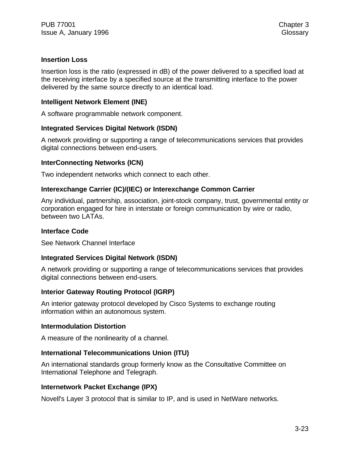### **Insertion Loss**

Insertion loss is the ratio (expressed in dB) of the power delivered to a specified load at the receiving interface by a specified source at the transmitting interface to the power delivered by the same source directly to an identical load.

### **Intelligent Network Element (INE)**

A software programmable network component.

### **Integrated Services Digital Network (ISDN)**

A network providing or supporting a range of telecommunications services that provides digital connections between end-users.

### **InterConnecting Networks (ICN)**

Two independent networks which connect to each other.

### **Interexchange Carrier (IC)/(IEC) or Interexchange Common Carrier**

Any individual, partnership, association, joint-stock company, trust, governmental entity or corporation engaged for hire in interstate or foreign communication by wire or radio, between two LATAs.

#### **Interface Code**

See Network Channel Interface

#### **Integrated Services Digital Network (ISDN)**

A network providing or supporting a range of telecommunications services that provides digital connections between end-users.

#### **Interior Gateway Routing Protocol (IGRP)**

An interior gateway protocol developed by Cisco Systems to exchange routing information within an autonomous system.

#### **Intermodulation Distortion**

A measure of the nonlinearity of a channel.

#### **International Telecommunications Union (ITU)**

An international standards group formerly know as the Consultative Committee on International Telephone and Telegraph.

#### **Internetwork Packet Exchange (IPX)**

Novell's Layer 3 protocol that is similar to IP, and is used in NetWare networks.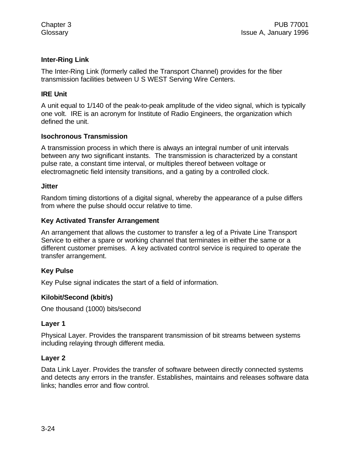### **Inter-Ring Link**

The Inter-Ring Link (formerly called the Transport Channel) provides for the fiber transmission facilities between U S WEST Serving Wire Centers.

### **IRE Unit**

A unit equal to 1/140 of the peak-to-peak amplitude of the video signal, which is typically one volt. IRE is an acronym for Institute of Radio Engineers, the organization which defined the unit.

### **Isochronous Transmission**

A transmission process in which there is always an integral number of unit intervals between any two significant instants. The transmission is characterized by a constant pulse rate, a constant time interval, or multiples thereof between voltage or electromagnetic field intensity transitions, and a gating by a controlled clock.

#### **Jitter**

Random timing distortions of a digital signal, whereby the appearance of a pulse differs from where the pulse should occur relative to time.

### **Key Activated Transfer Arrangement**

An arrangement that allows the customer to transfer a leg of a Private Line Transport Service to either a spare or working channel that terminates in either the same or a different customer premises. A key activated control service is required to operate the transfer arrangement.

## **Key Pulse**

Key Pulse signal indicates the start of a field of information.

#### **Kilobit/Second (kbit/s)**

One thousand (1000) bits/second

#### **Layer 1**

Physical Layer. Provides the transparent transmission of bit streams between systems including relaying through different media.

#### **Layer 2**

Data Link Layer. Provides the transfer of software between directly connected systems and detects any errors in the transfer. Establishes, maintains and releases software data links; handles error and flow control.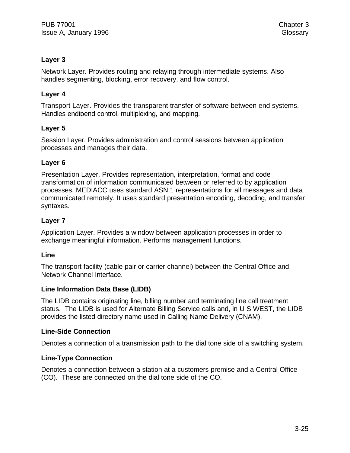## **Layer 3**

Network Layer. Provides routing and relaying through intermediate systems. Also handles segmenting, blocking, error recovery, and flow control.

# **Layer 4**

Transport Layer. Provides the transparent transfer of software between end systems. Handles endtoend control, multiplexing, and mapping.

# **Layer 5**

Session Layer. Provides administration and control sessions between application processes and manages their data.

## **Layer 6**

Presentation Layer. Provides representation, interpretation, format and code transformation of information communicated between or referred to by application processes. MEDIACC uses standard ASN.1 representations for all messages and data communicated remotely. It uses standard presentation encoding, decoding, and transfer syntaxes.

# **Layer 7**

Application Layer. Provides a window between application processes in order to exchange meaningful information. Performs management functions.

## **Line**

The transport facility (cable pair or carrier channel) between the Central Office and Network Channel Interface.

## **Line Information Data Base (LIDB)**

The LIDB contains originating line, billing number and terminating line call treatment status. The LIDB is used for Alternate Billing Service calls and, in U S WEST, the LIDB provides the listed directory name used in Calling Name Delivery (CNAM).

## **Line-Side Connection**

Denotes a connection of a transmission path to the dial tone side of a switching system.

# **Line-Type Connection**

Denotes a connection between a station at a customers premise and a Central Office (CO). These are connected on the dial tone side of the CO.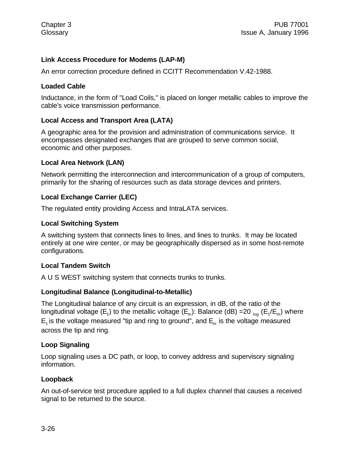## **Link Access Procedure for Modems (LAP-M)**

An error correction procedure defined in CCITT Recommendation V.42-1988.

### **Loaded Cable**

Inductance, in the form of "Load Coils," is placed on longer metallic cables to improve the cable's voice transmission performance.

## **Local Access and Transport Area (LATA)**

A geographic area for the provision and administration of communications service. It encompasses designated exchanges that are grouped to serve common social, economic and other purposes.

### **Local Area Network (LAN)**

Network permitting the interconnection and intercommunication of a group of computers, primarily for the sharing of resources such as data storage devices and printers.

### **Local Exchange Carrier (LEC)**

The regulated entity providing Access and IntraLATA services.

### **Local Switching System**

A switching system that connects lines to lines, and lines to trunks. It may be located entirely at one wire center, or may be geographically dispersed as in some host-remote configurations.

#### **Local Tandem Switch**

A U S WEST switching system that connects trunks to trunks.

#### **Longitudinal Balance (Longitudinal-to-Metallic)**

The Longitudinal balance of any circuit is an expression, in dB, of the ratio of the longitudinal voltage (E<sub>1</sub>) to the metallic voltage (E<sub>m</sub>): Balance (dB) =20 <sub>log</sub> (E<sub>1</sub>/E<sub>m</sub>) where  $\mathsf{E}_1$  is the voltage measured "tip and ring to ground", and  $\mathsf{E}_{\mathsf{m}}$  is the voltage measured across the tip and ring.

#### **Loop Signaling**

Loop signaling uses a DC path, or loop, to convey address and supervisory signaling information.

#### **Loopback**

An out-of-service test procedure applied to a full duplex channel that causes a received signal to be returned to the source.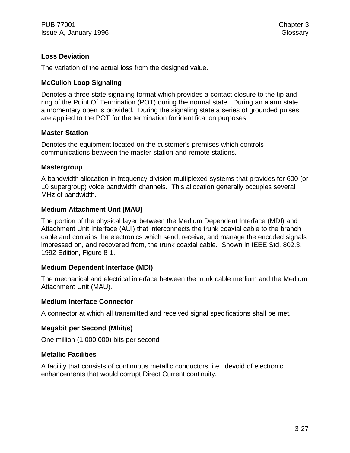## **Loss Deviation**

The variation of the actual loss from the designed value.

### **McCulloh Loop Signaling**

Denotes a three state signaling format which provides a contact closure to the tip and ring of the Point Of Termination (POT) during the normal state. During an alarm state a momentary open is provided. During the signaling state a series of grounded pulses are applied to the POT for the termination for identification purposes.

#### **Master Station**

Denotes the equipment located on the customer's premises which controls communications between the master station and remote stations.

#### **Mastergroup**

A bandwidth allocation in frequency-division multiplexed systems that provides for 600 (or 10 supergroup) voice bandwidth channels. This allocation generally occupies several MHz of bandwidth.

#### **Medium Attachment Unit (MAU)**

The portion of the physical layer between the Medium Dependent Interface (MDI) and Attachment Unit Interface (AUI) that interconnects the trunk coaxial cable to the branch cable and contains the electronics which send, receive, and manage the encoded signals impressed on, and recovered from, the trunk coaxial cable. Shown in IEEE Std. 802.3, 1992 Edition, Figure 8-1.

#### **Medium Dependent Interface (MDI)**

The mechanical and electrical interface between the trunk cable medium and the Medium Attachment Unit (MAU).

#### **Medium Interface Connector**

A connector at which all transmitted and received signal specifications shall be met.

#### **Megabit per Second (Mbit/s)**

One million (1,000,000) bits per second

#### **Metallic Facilities**

A facility that consists of continuous metallic conductors, i.e., devoid of electronic enhancements that would corrupt Direct Current continuity.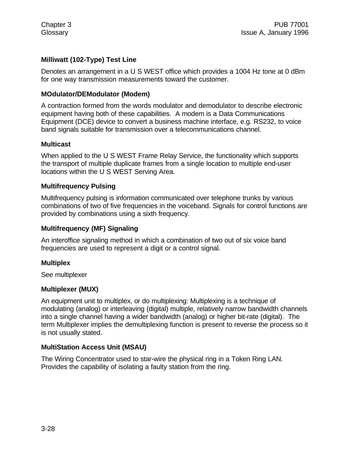## **Milliwatt (102-Type) Test Line**

Denotes an arrangement in a U S WEST office which provides a 1004 Hz tone at 0 dBm for one way transmission measurements toward the customer.

## **MOdulator/DEModulator (Modem)**

A contraction formed from the words modulator and demodulator to describe electronic equipment having both of these capabilities. A modem is a Data Communications Equipment (DCE) device to convert a business machine interface, e.g. RS232, to voice band signals suitable for transmission over a telecommunications channel.

#### **Multicast**

When applied to the U S WEST Frame Relay Service, the functionality which supports the transport of multiple duplicate frames from a single location to multiple end-user locations within the U S WEST Serving Area.

### **Multifrequency Pulsing**

Multifrequency pulsing is information communicated over telephone trunks by various combinations of two of five frequencies in the voiceband. Signals for control functions are provided by combinations using a sixth frequency.

## **Multifrequency (MF) Signaling**

An interoffice signaling method in which a combination of two out of six voice band frequencies are used to represent a digit or a control signal.

#### **Multiplex**

See multiplexer

#### **Multiplexer (MUX)**

An equipment unit to multiplex, or do multiplexing: Multiplexing is a technique of modulating (analog) or interleaving (digital) multiple, relatively narrow bandwidth channels into a single channel having a wider bandwidth (analog) or higher bit-rate (digital). The term Multiplexer implies the demultiplexing function is present to reverse the process so it is not usually stated.

## **MultiStation Access Unit (MSAU)**

The Wiring Concentrator used to star-wire the physical ring in a Token Ring LAN. Provides the capability of isolating a faulty station from the ring.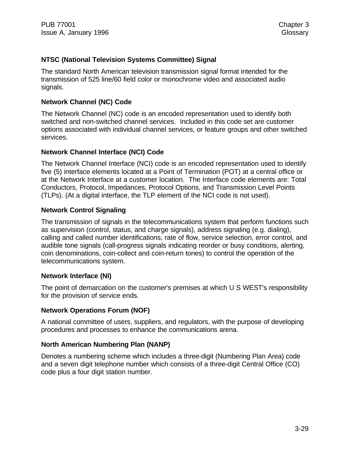## **NTSC (National Television Systems Committee) Signal**

The standard North American television transmission signal format intended for the transmission of 525 line/60 field color or monochrome video and associated audio signals.

### **Network Channel (NC) Code**

The Network Channel (NC) code is an encoded representation used to identify both switched and non-switched channel services. Included in this code set are customer options associated with individual channel services, or feature groups and other switched services.

### **Network Channel Interface (NCI) Code**

The Network Channel Interface (NCI) code is an encoded representation used to identify five (5) interface elements located at a Point of Termination (POT) at a central office or at the Network Interface at a customer location. The Interface code elements are: Total Conductors, Protocol, Impedances, Protocol Options, and Transmission Level Points (TLPs). (At a digital interface, the TLP element of the NCI code is not used).

## **Network Control Signaling**

The transmission of signals in the telecommunications system that perform functions such as supervision (control, status, and charge signals), address signaling (e.g. dialing), calling and called number identifications, rate of flow, service selection, error control, and audible tone signals (call-progress signals indicating reorder or busy conditions, alerting, coin denominations, coin-collect and coin-return tones) to control the operation of the telecommunications system.

## **Network Interface (NI)**

The point of demarcation on the customer's premises at which U S WEST's responsibility for the provision of service ends.

## **Network Operations Forum (NOF)**

A national committee of users, suppliers, and regulators, with the purpose of developing procedures and processes to enhance the communications arena.

#### **North American Numbering Plan (NANP)**

Denotes a numbering scheme which includes a three-digit (Numbering Plan Area) code and a seven digit telephone number which consists of a three-digit Central Office (CO) code plus a four digit station number.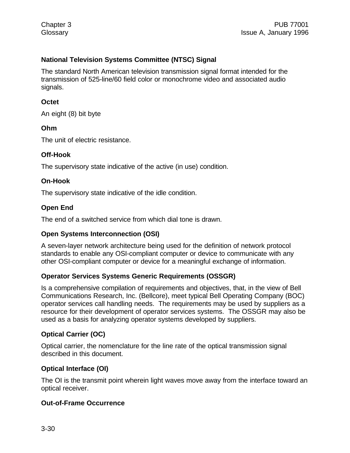## **National Television Systems Committee (NTSC) Signal**

The standard North American television transmission signal format intended for the transmission of 525-line/60 field color or monochrome video and associated audio signals.

## **Octet**

An eight (8) bit byte

# **Ohm**

The unit of electric resistance.

# **Off-Hook**

The supervisory state indicative of the active (in use) condition.

# **On-Hook**

The supervisory state indicative of the idle condition.

# **Open End**

The end of a switched service from which dial tone is drawn.

## **Open Systems Interconnection (OSI)**

A seven-layer network architecture being used for the definition of network protocol standards to enable any OSI-compliant computer or device to communicate with any other OSI-compliant computer or device for a meaningful exchange of information.

## **Operator Services Systems Generic Requirements (OSSGR)**

Is a comprehensive compilation of requirements and objectives, that, in the view of Bell Communications Research, Inc. (Bellcore), meet typical Bell Operating Company (BOC) operator services call handling needs. The requirements may be used by suppliers as a resource for their development of operator services systems. The OSSGR may also be used as a basis for analyzing operator systems developed by suppliers.

# **Optical Carrier (OC)**

Optical carrier, the nomenclature for the line rate of the optical transmission signal described in this document.

# **Optical Interface (OI)**

The OI is the transmit point wherein light waves move away from the interface toward an optical receiver.

## **Out-of-Frame Occurrence**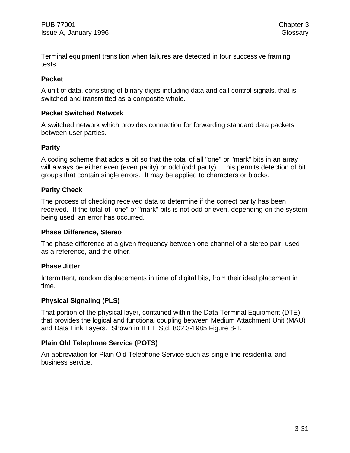Terminal equipment transition when failures are detected in four successive framing tests.

### **Packet**

A unit of data, consisting of binary digits including data and call-control signals, that is switched and transmitted as a composite whole.

### **Packet Switched Network**

A switched network which provides connection for forwarding standard data packets between user parties.

### **Parity**

A coding scheme that adds a bit so that the total of all "one" or "mark" bits in an array will always be either even (even parity) or odd (odd parity). This permits detection of bit groups that contain single errors. It may be applied to characters or blocks.

### **Parity Check**

The process of checking received data to determine if the correct parity has been received. If the total of "one" or "mark" bits is not odd or even, depending on the system being used, an error has occurred.

#### **Phase Difference, Stereo**

The phase difference at a given frequency between one channel of a stereo pair, used as a reference, and the other.

## **Phase Jitter**

Intermittent, random displacements in time of digital bits, from their ideal placement in time.

## **Physical Signaling (PLS)**

That portion of the physical layer, contained within the Data Terminal Equipment (DTE) that provides the logical and functional coupling between Medium Attachment Unit (MAU) and Data Link Layers. Shown in IEEE Std. 802.3-1985 Figure 8-1.

## **Plain Old Telephone Service (POTS)**

An abbreviation for Plain Old Telephone Service such as single line residential and business service.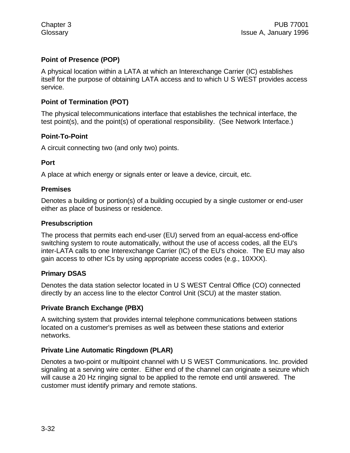## **Point of Presence (POP)**

A physical location within a LATA at which an Interexchange Carrier (IC) establishes itself for the purpose of obtaining LATA access and to which U S WEST provides access service.

## **Point of Termination (POT)**

The physical telecommunications interface that establishes the technical interface, the test point(s), and the point(s) of operational responsibility. (See Network Interface.)

### **Point-To-Point**

A circuit connecting two (and only two) points.

### **Port**

A place at which energy or signals enter or leave a device, circuit, etc.

#### **Premises**

Denotes a building or portion(s) of a building occupied by a single customer or end-user either as place of business or residence.

#### **Presubscription**

The process that permits each end-user (EU) served from an equal-access end-office switching system to route automatically, without the use of access codes, all the EU's inter-LATA calls to one Interexchange Carrier (IC) of the EU's choice. The EU may also gain access to other ICs by using appropriate access codes (e.g., 10XXX).

#### **Primary DSAS**

Denotes the data station selector located in U S WEST Central Office (CO) connected directly by an access line to the elector Control Unit (SCU) at the master station.

## **Private Branch Exchange (PBX)**

A switching system that provides internal telephone communications between stations located on a customer's premises as well as between these stations and exterior networks.

## **Private Line Automatic Ringdown (PLAR)**

Denotes a two-point or multipoint channel with U S WEST Communications. Inc. provided signaling at a serving wire center. Either end of the channel can originate a seizure which will cause a 20 Hz ringing signal to be applied to the remote end until answered. The customer must identify primary and remote stations.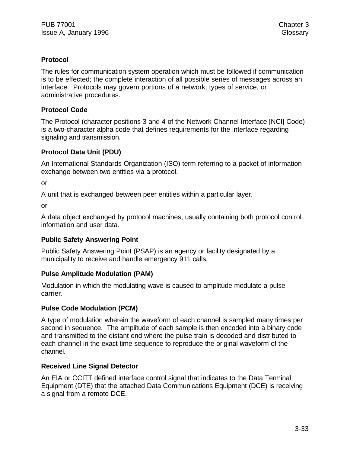# **Protocol**

The rules for communication system operation which must be followed if communication is to be effected; the complete interaction of all possible series of messages across an interface. Protocols may govern portions of a network, types of service, or administrative procedures.

# **Protocol Code**

The Protocol (character positions 3 and 4 of the Network Channel Interface [NCI] Code) is a two-character alpha code that defines requirements for the interface regarding signaling and transmission.

# **Protocol Data Unit (PDU)**

An International Standards Organization (ISO) term referring to a packet of information exchange between two entities via a protocol.

or

A unit that is exchanged between peer entities within a particular layer.

or

A data object exchanged by protocol machines, usually containing both protocol control information and user data.

# **Public Safety Answering Point**

Public Safety Answering Point (PSAP) is an agency or facility designated by a municipality to receive and handle emergency 911 calls.

## **Pulse Amplitude Modulation (PAM)**

Modulation in which the modulating wave is caused to amplitude modulate a pulse carrier.

## **Pulse Code Modulation (PCM)**

A type of modulation wherein the waveform of each channel is sampled many times per second in sequence. The amplitude of each sample is then encoded into a binary code and transmitted to the distant end where the pulse train is decoded and distributed to each channel in the exact time sequence to reproduce the original waveform of the channel.

# **Received Line Signal Detector**

An EIA or CCITT defined interface control signal that indicates to the Data Terminal Equipment (DTE) that the attached Data Communications Equipment (DCE) is receiving a signal from a remote DCE.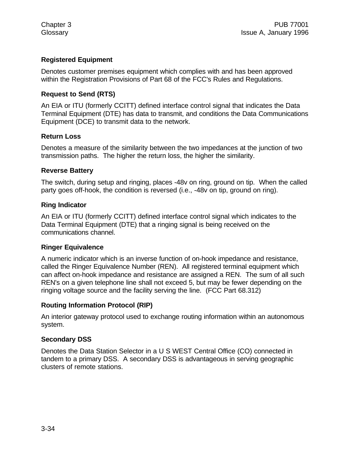## **Registered Equipment**

Denotes customer premises equipment which complies with and has been approved within the Registration Provisions of Part 68 of the FCC's Rules and Regulations.

## **Request to Send (RTS)**

An EIA or ITU (formerly CCITT) defined interface control signal that indicates the Data Terminal Equipment (DTE) has data to transmit, and conditions the Data Communications Equipment (DCE) to transmit data to the network.

## **Return Loss**

Denotes a measure of the similarity between the two impedances at the junction of two transmission paths. The higher the return loss, the higher the similarity.

#### **Reverse Battery**

The switch, during setup and ringing, places -48v on ring, ground on tip. When the called party goes off-hook, the condition is reversed (i.e., -48v on tip, ground on ring).

#### **Ring Indicator**

An EIA or ITU (formerly CCITT) defined interface control signal which indicates to the Data Terminal Equipment (DTE) that a ringing signal is being received on the communications channel.

#### **Ringer Equivalence**

A numeric indicator which is an inverse function of on-hook impedance and resistance, called the Ringer Equivalence Number (REN). All registered terminal equipment which can affect on-hook impedance and resistance are assigned a REN. The sum of all such REN's on a given telephone line shall not exceed 5, but may be fewer depending on the ringing voltage source and the facility serving the line. (FCC Part 68.312)

#### **Routing Information Protocol (RIP)**

An interior gateway protocol used to exchange routing information within an autonomous system.

#### **Secondary DSS**

Denotes the Data Station Selector in a U S WEST Central Office (CO) connected in tandem to a primary DSS. A secondary DSS is advantageous in serving geographic clusters of remote stations.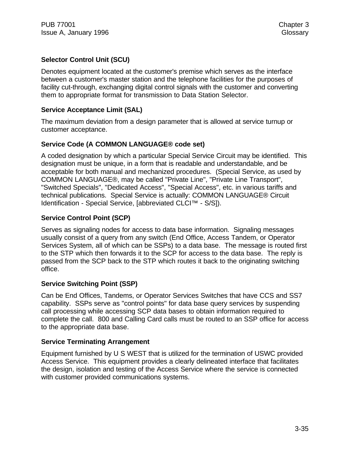## **Selector Control Unit (SCU)**

Denotes equipment located at the customer's premise which serves as the interface between a customer's master station and the telephone facilities for the purposes of facility cut-through, exchanging digital control signals with the customer and converting them to appropriate format for transmission to Data Station Selector.

## **Service Acceptance Limit (SAL)**

The maximum deviation from a design parameter that is allowed at service turnup or customer acceptance.

## **Service Code (A COMMON LANGUAGE® code set)**

A coded designation by which a particular Special Service Circuit may be identified. This designation must be unique, in a form that is readable and understandable, and be acceptable for both manual and mechanized procedures. (Special Service, as used by COMMON LANGUAGE®, may be called "Private Line", "Private Line Transport", "Switched Specials", "Dedicated Access", "Special Access", etc. in various tariffs and technical publications. Special Service is actually: COMMON LANGUAGE® Circuit Identification - Special Service, [abbreviated CLCI™ - S/S]).

## **Service Control Point (SCP)**

Serves as signaling nodes for access to data base information. Signaling messages usually consist of a query from any switch (End Office, Access Tandem, or Operator Services System, all of which can be SSPs) to a data base. The message is routed first to the STP which then forwards it to the SCP for access to the data base. The reply is passed from the SCP back to the STP which routes it back to the originating switching office.

#### **Service Switching Point (SSP)**

Can be End Offices, Tandems, or Operator Services Switches that have CCS and SS7 capability. SSPs serve as "control points" for data base query services by suspending call processing while accessing SCP data bases to obtain information required to complete the call. 800 and Calling Card calls must be routed to an SSP office for access to the appropriate data base.

#### **Service Terminating Arrangement**

Equipment furnished by U S WEST that is utilized for the termination of USWC provided Access Service. This equipment provides a clearly delineated interface that facilitates the design, isolation and testing of the Access Service where the service is connected with customer provided communications systems.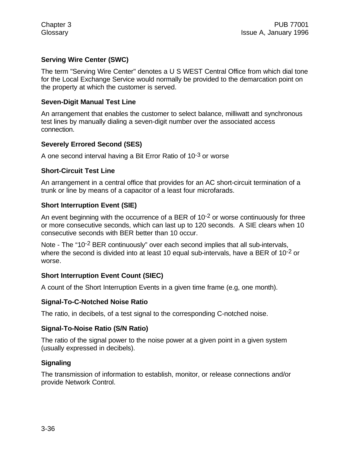## **Serving Wire Center (SWC)**

The term "Serving Wire Center" denotes a U S WEST Central Office from which dial tone for the Local Exchange Service would normally be provided to the demarcation point on the property at which the customer is served.

#### **Seven-Digit Manual Test Line**

An arrangement that enables the customer to select balance, milliwatt and synchronous test lines by manually dialing a seven-digit number over the associated access connection.

#### **Severely Errored Second (SES)**

A one second interval having a Bit Error Ratio of 10-3 or worse

#### **Short-Circuit Test Line**

An arrangement in a central office that provides for an AC short-circuit termination of a trunk or line by means of a capacitor of a least four microfarads.

#### **Short Interruption Event (SIE)**

An event beginning with the occurrence of a BER of  $10^{-2}$  or worse continuously for three or more consecutive seconds, which can last up to 120 seconds. A SIE clears when 10 consecutive seconds with BER better than 10 occur.

Note - The "10<sup>-2</sup> BER continuously" over each second implies that all sub-intervals, where the second is divided into at least 10 equal sub-intervals, have a BER of 10<sup>-2</sup> or worse.

#### **Short Interruption Event Count (SIEC)**

A count of the Short Interruption Events in a given time frame (e.g, one month).

#### **Signal-To-C-Notched Noise Ratio**

The ratio, in decibels, of a test signal to the corresponding C-notched noise.

#### **Signal-To-Noise Ratio (S/N Ratio)**

The ratio of the signal power to the noise power at a given point in a given system (usually expressed in decibels).

#### **Signaling**

The transmission of information to establish, monitor, or release connections and/or provide Network Control.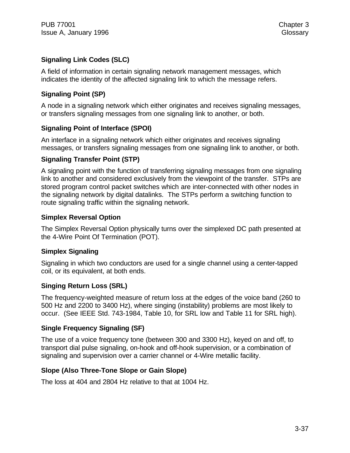## **Signaling Link Codes (SLC)**

A field of information in certain signaling network management messages, which indicates the identity of the affected signaling link to which the message refers.

## **Signaling Point (SP)**

A node in a signaling network which either originates and receives signaling messages, or transfers signaling messages from one signaling link to another, or both.

## **Signaling Point of Interface (SPOI)**

An interface in a signaling network which either originates and receives signaling messages, or transfers signaling messages from one signaling link to another, or both.

## **Signaling Transfer Point (STP)**

A signaling point with the function of transferring signaling messages from one signaling link to another and considered exclusively from the viewpoint of the transfer. STPs are stored program control packet switches which are inter-connected with other nodes in the signaling network by digital datalinks. The STPs perform a switching function to route signaling traffic within the signaling network.

## **Simplex Reversal Option**

The Simplex Reversal Option physically turns over the simplexed DC path presented at the 4-Wire Point Of Termination (POT).

## **Simplex Signaling**

Signaling in which two conductors are used for a single channel using a center-tapped coil, or its equivalent, at both ends.

## **Singing Return Loss (SRL)**

The frequency-weighted measure of return loss at the edges of the voice band (260 to 500 Hz and 2200 to 3400 Hz), where singing (instability) problems are most likely to occur. (See IEEE Std. 743-1984, Table 10, for SRL low and Table 11 for SRL high).

## **Single Frequency Signaling (SF)**

The use of a voice frequency tone (between 300 and 3300 Hz), keyed on and off, to transport dial pulse signaling, on-hook and off-hook supervision, or a combination of signaling and supervision over a carrier channel or 4-Wire metallic facility.

#### **Slope (Also Three-Tone Slope or Gain Slope)**

The loss at 404 and 2804 Hz relative to that at 1004 Hz.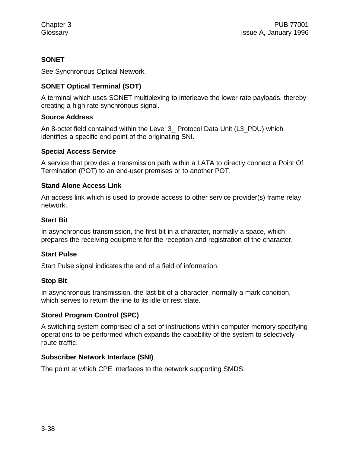## **SONET**

See Synchronous Optical Network.

## **SONET Optical Terminal (SOT)**

A terminal which uses SONET multiplexing to interleave the lower rate payloads, thereby creating a high rate synchronous signal.

## **Source Address**

An 8-octet field contained within the Level 3\_ Protocol Data Unit (L3\_PDU) which identifies a specific end point of the originating SNI.

## **Special Access Service**

A service that provides a transmission path within a LATA to directly connect a Point Of Termination (POT) to an end-user premises or to another POT.

## **Stand Alone Access Link**

An access link which is used to provide access to other service provider(s) frame relay network.

## **Start Bit**

In asynchronous transmission, the first bit in a character, normally a space, which prepares the receiving equipment for the reception and registration of the character.

## **Start Pulse**

Start Pulse signal indicates the end of a field of information.

## **Stop Bit**

In asynchronous transmission, the last bit of a character, normally a mark condition, which serves to return the line to its idle or rest state.

## **Stored Program Control (SPC)**

A switching system comprised of a set of instructions within computer memory specifying operations to be performed which expands the capability of the system to selectively route traffic.

## **Subscriber Network Interface (SNI)**

The point at which CPE interfaces to the network supporting SMDS.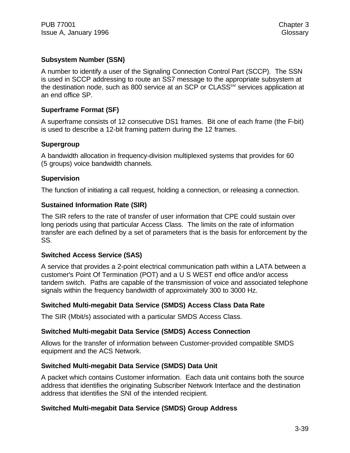## **Subsystem Number (SSN)**

A number to identify a user of the Signaling Connection Control Part (SCCP). The SSN is used in SCCP addressing to route an SS7 message to the appropriate subsystem at the destination node, such as 800 service at an SCP or CLASS<sup>SM</sup> services application at an end office SP.

## **Superframe Format (SF)**

A superframe consists of 12 consecutive DS1 frames. Bit one of each frame (the F-bit) is used to describe a 12-bit framing pattern during the 12 frames.

#### **Supergroup**

A bandwidth allocation in frequency-division multiplexed systems that provides for 60 (5 groups) voice bandwidth channels.

## **Supervision**

The function of initiating a call request, holding a connection, or releasing a connection.

#### **Sustained Information Rate (SIR)**

The SIR refers to the rate of transfer of user information that CPE could sustain over long periods using that particular Access Class. The limits on the rate of information transfer are each defined by a set of parameters that is the basis for enforcement by the SS.

#### **Switched Access Service (SAS)**

A service that provides a 2-point electrical communication path within a LATA between a customer's Point Of Termination (POT) and a U S WEST end office and/or access tandem switch. Paths are capable of the transmission of voice and associated telephone signals within the frequency bandwidth of approximately 300 to 3000 Hz.

#### **Switched Multi-megabit Data Service (SMDS) Access Class Data Rate**

The SIR (Mbit/s) associated with a particular SMDS Access Class.

#### **Switched Multi-megabit Data Service (SMDS) Access Connection**

Allows for the transfer of information between Customer-provided compatible SMDS equipment and the ACS Network.

#### **Switched Multi-megabit Data Service (SMDS) Data Unit**

A packet which contains Customer information. Each data unit contains both the source address that identifies the originating Subscriber Network Interface and the destination address that identifies the SNI of the intended recipient.

## **Switched Multi-megabit Data Service (SMDS) Group Address**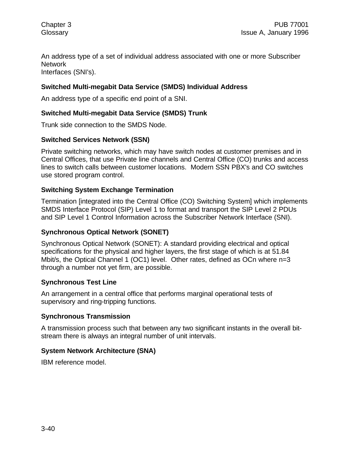An address type of a set of individual address associated with one or more Subscriber **Network** Interfaces (SNI's).

**Switched Multi-megabit Data Service (SMDS) Individual Address**

An address type of a specific end point of a SNI.

## **Switched Multi-megabit Data Service (SMDS) Trunk**

Trunk side connection to the SMDS Node.

## **Switched Services Network (SSN)**

Private switching networks, which may have switch nodes at customer premises and in Central Offices, that use Private line channels and Central Office (CO) trunks and access lines to switch calls between customer locations. Modern SSN PBX's and CO switches use stored program control.

## **Switching System Exchange Termination**

Termination [integrated into the Central Office (CO) Switching System] which implements SMDS Interface Protocol (SIP) Level 1 to format and transport the SIP Level 2 PDUs and SIP Level 1 Control Information across the Subscriber Network Interface (SNI).

#### **Synchronous Optical Network (SONET)**

Synchronous Optical Network (SONET): A standard providing electrical and optical specifications for the physical and higher layers, the first stage of which is at 51.84 Mbit/s, the Optical Channel 1 (OC1) level. Other rates, defined as OCn where n=3 through a number not yet firm, are possible.

#### **Synchronous Test Line**

An arrangement in a central office that performs marginal operational tests of supervisory and ring-tripping functions.

## **Synchronous Transmission**

A transmission process such that between any two significant instants in the overall bitstream there is always an integral number of unit intervals.

## **System Network Architecture (SNA)**

IBM reference model.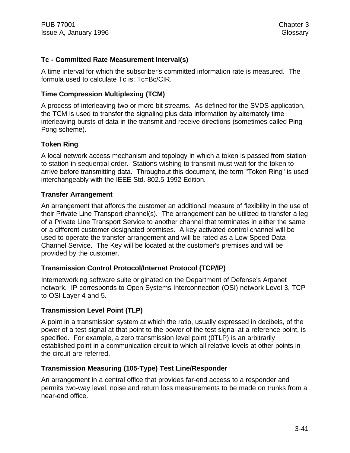## **Tc - Committed Rate Measurement Interval(s)**

A time interval for which the subscriber's committed information rate is measured. The formula used to calculate Tc is: Tc=Bc/CIR.

#### **Time Compression Multiplexing (TCM)**

A process of interleaving two or more bit streams. As defined for the SVDS application, the TCM is used to transfer the signaling plus data information by alternately time interleaving bursts of data in the transmit and receive directions (sometimes called Ping-Pong scheme).

#### **Token Ring**

A local network access mechanism and topology in which a token is passed from station to station in sequential order. Stations wishing to transmit must wait for the token to arrive before transmitting data. Throughout this document, the term "Token Ring" is used interchangeably with the IEEE Std. 802.5-1992 Edition.

#### **Transfer Arrangement**

An arrangement that affords the customer an additional measure of flexibility in the use of their Private Line Transport channel(s). The arrangement can be utilized to transfer a leg of a Private Line Transport Service to another channel that terminates in either the same or a different customer designated premises. A key activated control channel will be used to operate the transfer arrangement and will be rated as a Low Speed Data Channel Service. The Key will be located at the customer's premises and will be provided by the customer.

#### **Transmission Control Protocol/Internet Protocol (TCP/IP)**

Internetworking software suite originated on the Department of Defense's Arpanet network. IP corresponds to Open Systems Interconnection (OSI) network Level 3, TCP to OSI Layer 4 and 5.

#### **Transmission Level Point (TLP)**

A point in a transmission system at which the ratio, usually expressed in decibels, of the power of a test signal at that point to the power of the test signal at a reference point, is specified. For example, a zero transmission level point (0TLP) is an arbitrarily established point in a communication circuit to which all relative levels at other points in the circuit are referred.

#### **Transmission Measuring (105-Type) Test Line/Responder**

An arrangement in a central office that provides far-end access to a responder and permits two-way level, noise and return loss measurements to be made on trunks from a near-end office.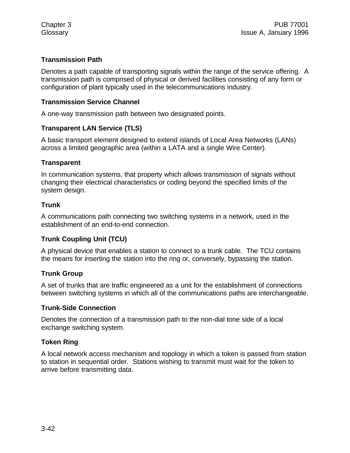## **Transmission Path**

Denotes a path capable of transporting signals within the range of the service offering. A transmission path is comprised of physical or derived facilities consisting of any form or configuration of plant typically used in the telecommunications industry.

#### **Transmission Service Channel**

A one-way transmission path between two designated points.

## **Transparent LAN Service (TLS)**

A basic transport element designed to extend islands of Local Area Networks (LANs) across a limited geographic area (within a LATA and a single Wire Center).

## **Transparent**

In communication systems, that property which allows transmission of signals without changing their electrical characteristics or coding beyond the specified limits of the system design.

## **Trunk**

A communications path connecting two switching systems in a network, used in the establishment of an end-to-end connection.

## **Trunk Coupling Unit (TCU)**

A physical device that enables a station to connect to a trunk cable. The TCU contains the means for inserting the station into the ring or, conversely, bypassing the station.

## **Trunk Group**

A set of trunks that are traffic engineered as a unit for the establishment of connections between switching systems in which all of the communications paths are interchangeable.

#### **Trunk-Side Connection**

Denotes the connection of a transmission path to the non-dial tone side of a local exchange switching system.

## **Token Ring**

A local network access mechanism and topology in which a token is passed from station to station in sequential order. Stations wishing to transmit must wait for the token to arrive before transmitting data.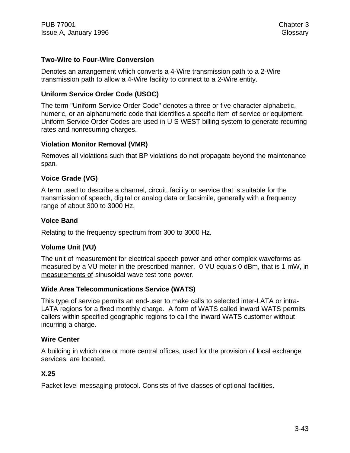#### **Two-Wire to Four-Wire Conversion**

Denotes an arrangement which converts a 4-Wire transmission path to a 2-Wire transmission path to allow a 4-Wire facility to connect to a 2-Wire entity.

## **Uniform Service Order Code (USOC)**

The term "Uniform Service Order Code" denotes a three or five-character alphabetic, numeric, or an alphanumeric code that identifies a specific item of service or equipment. Uniform Service Order Codes are used in U S WEST billing system to generate recurring rates and nonrecurring charges.

#### **Violation Monitor Removal (VMR)**

Removes all violations such that BP violations do not propagate beyond the maintenance span.

## **Voice Grade (VG)**

A term used to describe a channel, circuit, facility or service that is suitable for the transmission of speech, digital or analog data or facsimile, generally with a frequency range of about 300 to 3000 Hz.

#### **Voice Band**

Relating to the frequency spectrum from 300 to 3000 Hz.

#### **Volume Unit (VU)**

The unit of measurement for electrical speech power and other complex waveforms as measured by a VU meter in the prescribed manner. 0 VU equals 0 dBm, that is 1 mW, in measurements of sinusoidal wave test tone power.

#### **Wide Area Telecommunications Service (WATS)**

This type of service permits an end-user to make calls to selected inter-LATA or intra-LATA regions for a fixed monthly charge. A form of WATS called inward WATS permits callers within specified geographic regions to call the inward WATS customer without incurring a charge.

#### **Wire Center**

A building in which one or more central offices, used for the provision of local exchange services, are located.

#### **X.25**

Packet level messaging protocol. Consists of five classes of optional facilities.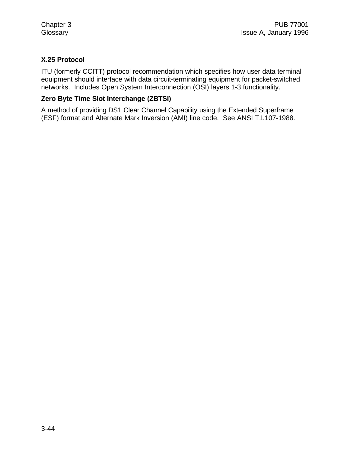## **X.25 Protocol**

ITU (formerly CCITT) protocol recommendation which specifies how user data terminal equipment should interface with data circuit-terminating equipment for packet-switched networks. Includes Open System Interconnection (OSI) layers 1-3 functionality.

## **Zero Byte Time Slot Interchange (ZBTSI)**

A method of providing DS1 Clear Channel Capability using the Extended Superframe (ESF) format and Alternate Mark Inversion (AMI) line code. See ANSI T1.107-1988.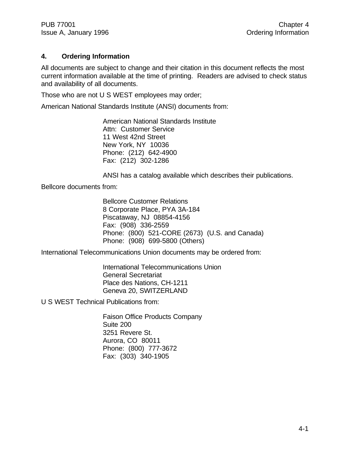## **4. Ordering Information**

All documents are subject to change and their citation in this document reflects the most current information available at the time of printing. Readers are advised to check status and availability of all documents.

Those who are not U S WEST employees may order;

American National Standards Institute (ANSI) documents from:

American National Standards Institute Attn: Customer Service 11 West 42nd Street New York, NY 10036 Phone: (212) 642-4900 Fax: (212) 302-1286

ANSI has a catalog available which describes their publications.

Bellcore documents from:

Bellcore Customer Relations 8 Corporate Place, PYA 3A-184 Piscataway, NJ 08854-4156 Fax: (908) 336-2559 Phone: (800) 521-CORE (2673) (U.S. and Canada) Phone: (908) 699-5800 (Others)

International Telecommunications Union documents may be ordered from:

International Telecommunications Union General Secretariat Place des Nations, CH-1211 Geneva 20, SWITZERLAND

U S WEST Technical Publications from:

Faison Office Products Company Suite 200 3251 Revere St. Aurora, CO 80011 Phone: (800) 777-3672 Fax: (303) 340-1905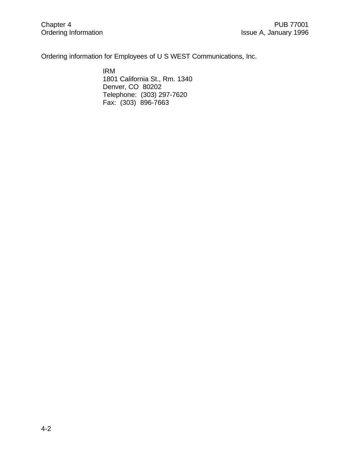Ordering information for Employees of U S WEST Communications, Inc.

IRM 1801 California St., Rm. 1340 Denver, CO 80202 Telephone: (303) 297-7620 Fax: (303) 896-7663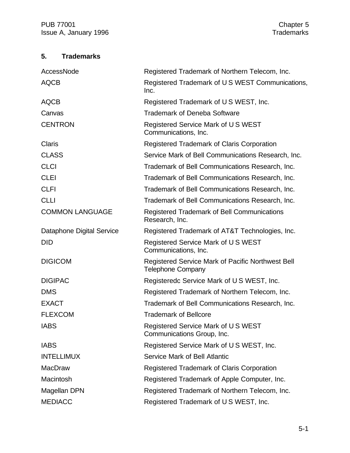# **5. Trademarks**

| AccessNode                | Registered Trademark of Northern Telecom, Inc.                                       |
|---------------------------|--------------------------------------------------------------------------------------|
| <b>AQCB</b>               | Registered Trademark of US WEST Communications,<br>Inc.                              |
| <b>AQCB</b>               | Registered Trademark of US WEST, Inc.                                                |
| Canvas                    | <b>Trademark of Deneba Software</b>                                                  |
| <b>CENTRON</b>            | Registered Service Mark of US WEST<br>Communications, Inc.                           |
| Claris                    | Registered Trademark of Claris Corporation                                           |
| <b>CLASS</b>              | Service Mark of Bell Communications Research, Inc.                                   |
| <b>CLCI</b>               | Trademark of Bell Communications Research, Inc.                                      |
| <b>CLEI</b>               | Trademark of Bell Communications Research, Inc.                                      |
| <b>CLFI</b>               | Trademark of Bell Communications Research, Inc.                                      |
| <b>CLLI</b>               | Trademark of Bell Communications Research, Inc.                                      |
| <b>COMMON LANGUAGE</b>    | <b>Registered Trademark of Bell Communications</b><br>Research, Inc.                 |
| Dataphone Digital Service | Registered Trademark of AT&T Technologies, Inc.                                      |
| <b>DID</b>                | Registered Service Mark of US WEST<br>Communications, Inc.                           |
| <b>DIGICOM</b>            | <b>Registered Service Mark of Pacific Northwest Bell</b><br><b>Telephone Company</b> |
| <b>DIGIPAC</b>            | Registeredc Service Mark of US WEST, Inc.                                            |
| <b>DMS</b>                | Registered Trademark of Northern Telecom, Inc.                                       |
| <b>EXACT</b>              | Trademark of Bell Communications Research, Inc.                                      |
| <b>FLEXCOM</b>            | <b>Trademark of Bellcore</b>                                                         |
| <b>IABS</b>               | Registered Service Mark of US WEST<br>Communications Group, Inc.                     |
| <b>IABS</b>               | Registered Service Mark of US WEST, Inc.                                             |
| <b>INTELLIMUX</b>         | Service Mark of Bell Atlantic                                                        |
| <b>MacDraw</b>            | Registered Trademark of Claris Corporation                                           |
| Macintosh                 | Registered Trademark of Apple Computer, Inc.                                         |
| Magellan DPN              | Registered Trademark of Northern Telecom, Inc.                                       |
| <b>MEDIACC</b>            | Registered Trademark of US WEST, Inc.                                                |